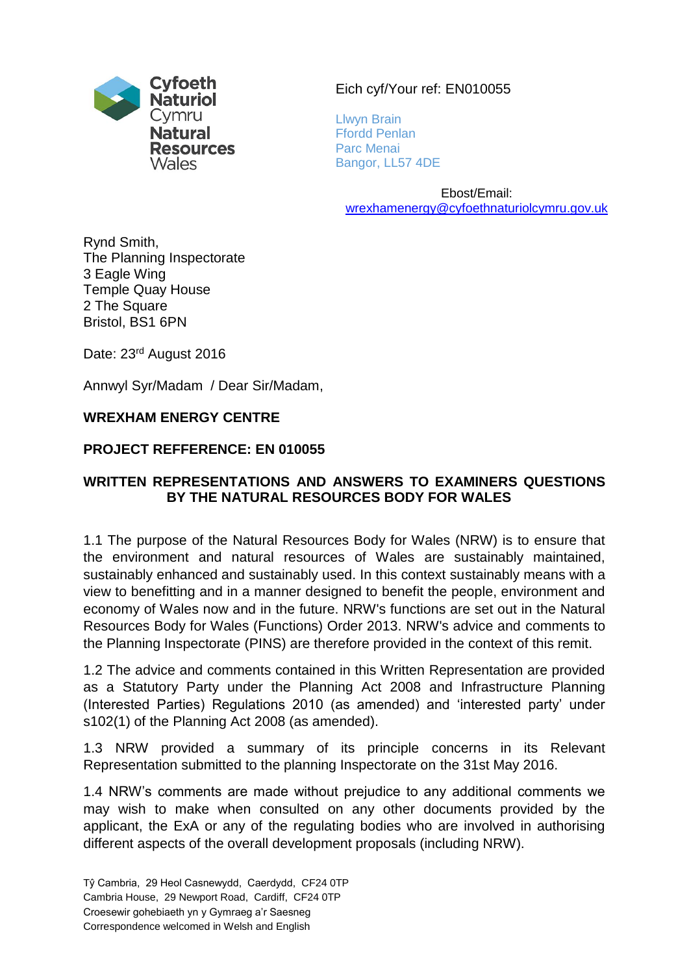

#### Eich cyf/Your ref: EN010055

Llwyn Brain Ffordd Penlan Parc Menai Bangor, LL57 4DE

Ebost/Email: [wrexhamenergy@cyfoethnaturiolcymru.gov.uk](mailto:wrexhamenergy@cyfoethnaturiolcymru.gov.uk)

Rynd Smith, The Planning Inspectorate 3 Eagle Wing Temple Quay House 2 The Square Bristol, BS1 6PN

Date: 23<sup>rd</sup> August 2016

Annwyl Syr/Madam / Dear Sir/Madam,

#### **WREXHAM ENERGY CENTRE**

#### **PROJECT REFFERENCE: EN 010055**

#### **WRITTEN REPRESENTATIONS AND ANSWERS TO EXAMINERS QUESTIONS BY THE NATURAL RESOURCES BODY FOR WALES**

1.1 The purpose of the Natural Resources Body for Wales (NRW) is to ensure that the environment and natural resources of Wales are sustainably maintained, sustainably enhanced and sustainably used. In this context sustainably means with a view to benefitting and in a manner designed to benefit the people, environment and economy of Wales now and in the future. NRW's functions are set out in the Natural Resources Body for Wales (Functions) Order 2013. NRW's advice and comments to the Planning Inspectorate (PINS) are therefore provided in the context of this remit.

1.2 The advice and comments contained in this Written Representation are provided as a Statutory Party under the Planning Act 2008 and Infrastructure Planning (Interested Parties) Regulations 2010 (as amended) and 'interested party' under s102(1) of the Planning Act 2008 (as amended).

1.3 NRW provided a summary of its principle concerns in its Relevant Representation submitted to the planning Inspectorate on the 31st May 2016.

1.4 NRW's comments are made without prejudice to any additional comments we may wish to make when consulted on any other documents provided by the applicant, the ExA or any of the regulating bodies who are involved in authorising different aspects of the overall development proposals (including NRW).

Cambria House, 29 Newport Road, Cardiff, CF24 0TP

Croesewir gohebiaeth yn y Gymraeg a'r Saesneg

Correspondence welcomed in Welsh and English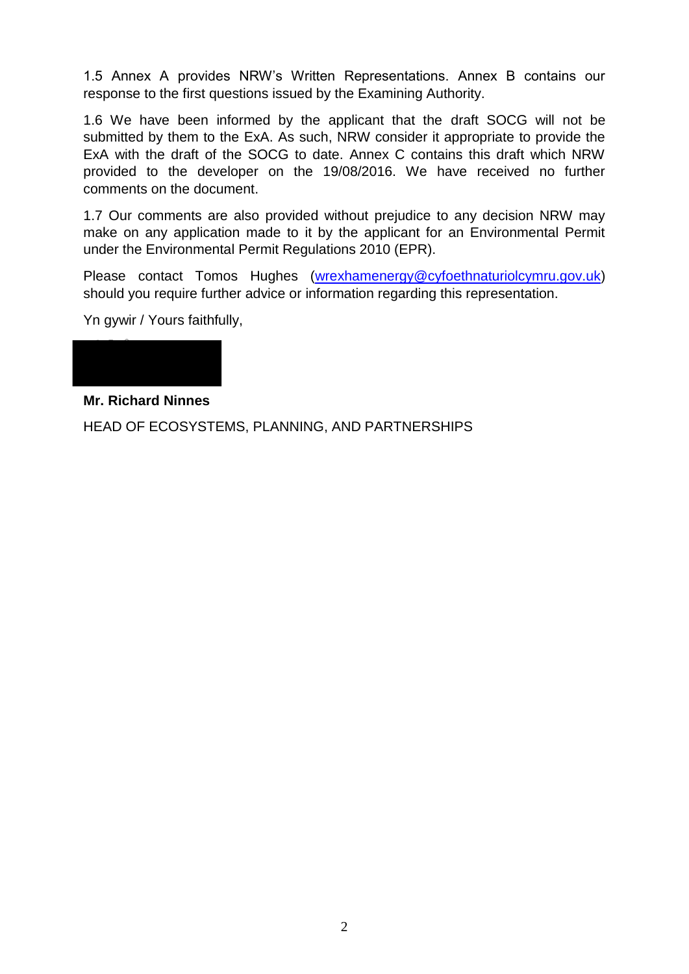1.5 Annex A provides NRW's Written Representations. Annex B contains our response to the first questions issued by the Examining Authority.

1.6 We have been informed by the applicant that the draft SOCG will not be submitted by them to the ExA. As such, NRW consider it appropriate to provide the ExA with the draft of the SOCG to date. Annex C contains this draft which NRW provided to the developer on the 19/08/2016. We have received no further comments on the document.

1.7 Our comments are also provided without prejudice to any decision NRW may make on any application made to it by the applicant for an Environmental Permit under the Environmental Permit Regulations 2010 (EPR).

Please contact Tomos Hughes [\(wrexhamenergy@cyfoethnaturiolcymru.gov.uk\)](mailto:wrexhamenergy@cyfoethnaturiolcymru.gov.uk) should you require further advice or information regarding this representation.

Yn gywir / Yours faithfully,

## **Mr. Richard Ninnes**

HEAD OF ECOSYSTEMS, PLANNING, AND PARTNERSHIPS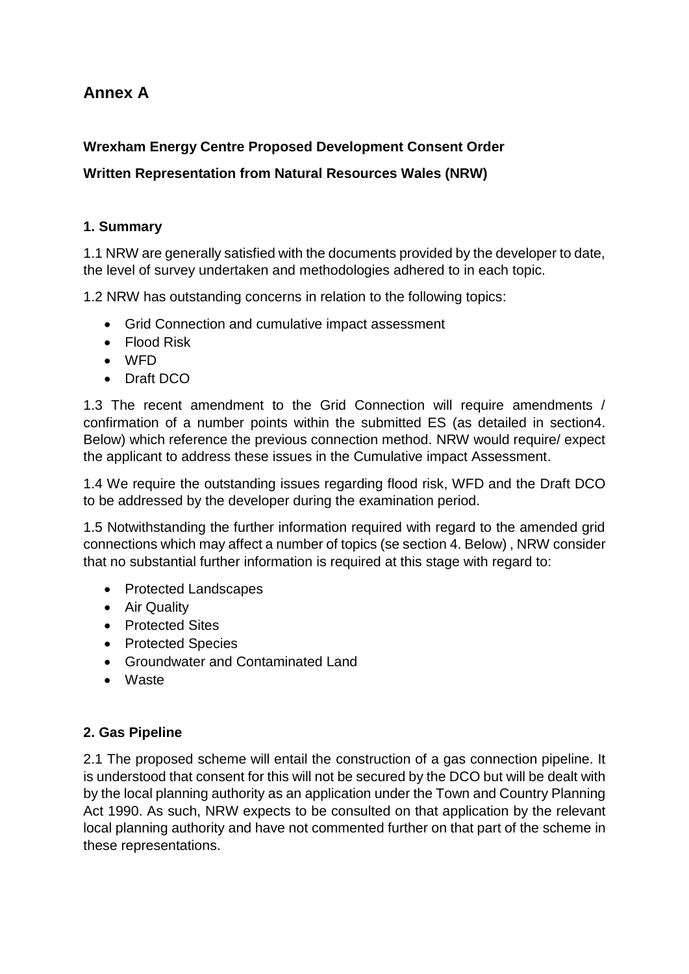## **Annex A**

## **Wrexham Energy Centre Proposed Development Consent Order**

## **Written Representation from Natural Resources Wales (NRW)**

#### **1. Summary**

1.1 NRW are generally satisfied with the documents provided by the developer to date, the level of survey undertaken and methodologies adhered to in each topic.

1.2 NRW has outstanding concerns in relation to the following topics:

- Grid Connection and cumulative impact assessment
- Flood Risk
- WFD
- Draft DCO

1.3 The recent amendment to the Grid Connection will require amendments / confirmation of a number points within the submitted ES (as detailed in section4. Below) which reference the previous connection method. NRW would require/ expect the applicant to address these issues in the Cumulative impact Assessment.

1.4 We require the outstanding issues regarding flood risk, WFD and the Draft DCO to be addressed by the developer during the examination period.

1.5 Notwithstanding the further information required with regard to the amended grid connections which may affect a number of topics (se section 4. Below) , NRW consider that no substantial further information is required at this stage with regard to:

- Protected Landscapes
- Air Quality
- Protected Sites
- Protected Species
- Groundwater and Contaminated Land
- Waste

#### **2. Gas Pipeline**

2.1 The proposed scheme will entail the construction of a gas connection pipeline. It is understood that consent for this will not be secured by the DCO but will be dealt with by the local planning authority as an application under the Town and Country Planning Act 1990. As such, NRW expects to be consulted on that application by the relevant local planning authority and have not commented further on that part of the scheme in these representations.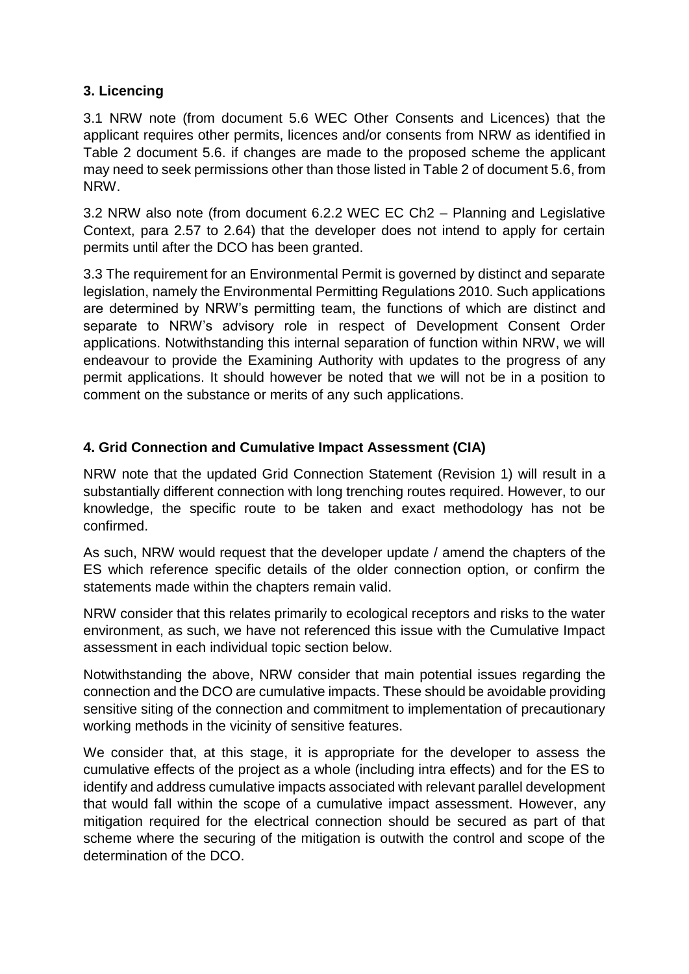#### **3. Licencing**

3.1 NRW note (from document 5.6 WEC Other Consents and Licences) that the applicant requires other permits, licences and/or consents from NRW as identified in Table 2 document 5.6. if changes are made to the proposed scheme the applicant may need to seek permissions other than those listed in Table 2 of document 5.6, from NRW.

3.2 NRW also note (from document 6.2.2 WEC EC Ch2 – Planning and Legislative Context, para 2.57 to 2.64) that the developer does not intend to apply for certain permits until after the DCO has been granted.

3.3 The requirement for an Environmental Permit is governed by distinct and separate legislation, namely the Environmental Permitting Regulations 2010. Such applications are determined by NRW's permitting team, the functions of which are distinct and separate to NRW's advisory role in respect of Development Consent Order applications. Notwithstanding this internal separation of function within NRW, we will endeavour to provide the Examining Authority with updates to the progress of any permit applications. It should however be noted that we will not be in a position to comment on the substance or merits of any such applications.

## **4. Grid Connection and Cumulative Impact Assessment (CIA)**

NRW note that the updated Grid Connection Statement (Revision 1) will result in a substantially different connection with long trenching routes required. However, to our knowledge, the specific route to be taken and exact methodology has not be confirmed.

As such, NRW would request that the developer update / amend the chapters of the ES which reference specific details of the older connection option, or confirm the statements made within the chapters remain valid.

NRW consider that this relates primarily to ecological receptors and risks to the water environment, as such, we have not referenced this issue with the Cumulative Impact assessment in each individual topic section below.

Notwithstanding the above, NRW consider that main potential issues regarding the connection and the DCO are cumulative impacts. These should be avoidable providing sensitive siting of the connection and commitment to implementation of precautionary working methods in the vicinity of sensitive features.

We consider that, at this stage, it is appropriate for the developer to assess the cumulative effects of the project as a whole (including intra effects) and for the ES to identify and address cumulative impacts associated with relevant parallel development that would fall within the scope of a cumulative impact assessment. However, any mitigation required for the electrical connection should be secured as part of that scheme where the securing of the mitigation is outwith the control and scope of the determination of the DCO.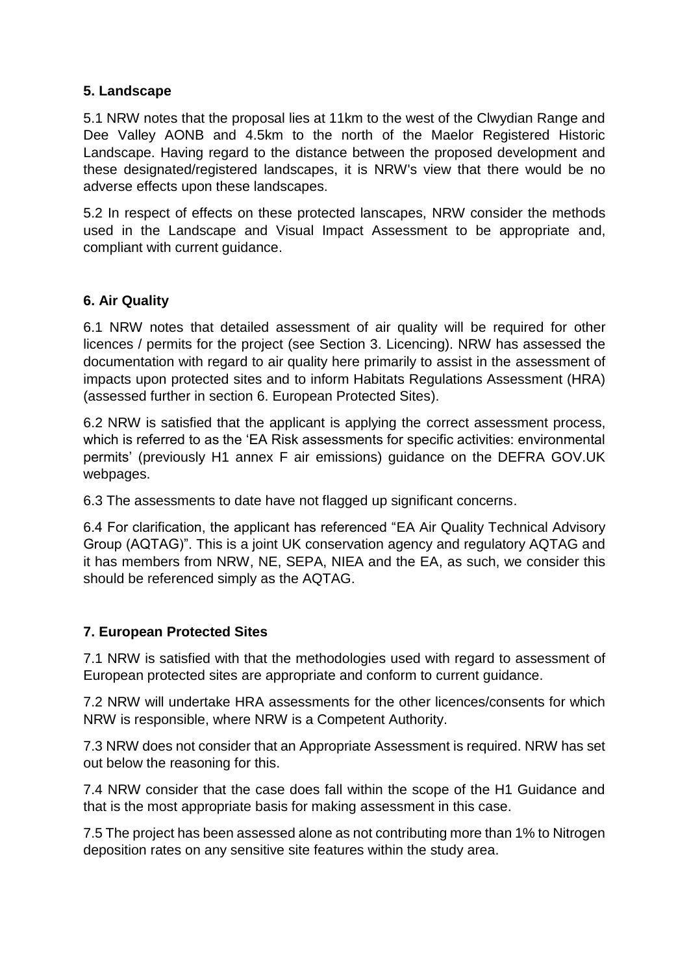#### **5. Landscape**

5.1 NRW notes that the proposal lies at 11km to the west of the Clwydian Range and Dee Valley AONB and 4.5km to the north of the Maelor Registered Historic Landscape. Having regard to the distance between the proposed development and these designated/registered landscapes, it is NRW's view that there would be no adverse effects upon these landscapes.

5.2 In respect of effects on these protected lanscapes, NRW consider the methods used in the Landscape and Visual Impact Assessment to be appropriate and, compliant with current guidance.

#### **6. Air Quality**

6.1 NRW notes that detailed assessment of air quality will be required for other licences / permits for the project (see Section 3. Licencing). NRW has assessed the documentation with regard to air quality here primarily to assist in the assessment of impacts upon protected sites and to inform Habitats Regulations Assessment (HRA) (assessed further in section 6. European Protected Sites).

6.2 NRW is satisfied that the applicant is applying the correct assessment process, which is referred to as the 'EA Risk assessments for specific activities: environmental permits' (previously H1 annex F air emissions) guidance on the DEFRA GOV.UK webpages.

6.3 The assessments to date have not flagged up significant concerns.

6.4 For clarification, the applicant has referenced "EA Air Quality Technical Advisory Group (AQTAG)". This is a joint UK conservation agency and regulatory AQTAG and it has members from NRW, NE, SEPA, NIEA and the EA, as such, we consider this should be referenced simply as the AQTAG.

#### **7. European Protected Sites**

7.1 NRW is satisfied with that the methodologies used with regard to assessment of European protected sites are appropriate and conform to current guidance.

7.2 NRW will undertake HRA assessments for the other licences/consents for which NRW is responsible, where NRW is a Competent Authority.

7.3 NRW does not consider that an Appropriate Assessment is required. NRW has set out below the reasoning for this.

7.4 NRW consider that the case does fall within the scope of the H1 Guidance and that is the most appropriate basis for making assessment in this case.

7.5 The project has been assessed alone as not contributing more than 1% to Nitrogen deposition rates on any sensitive site features within the study area.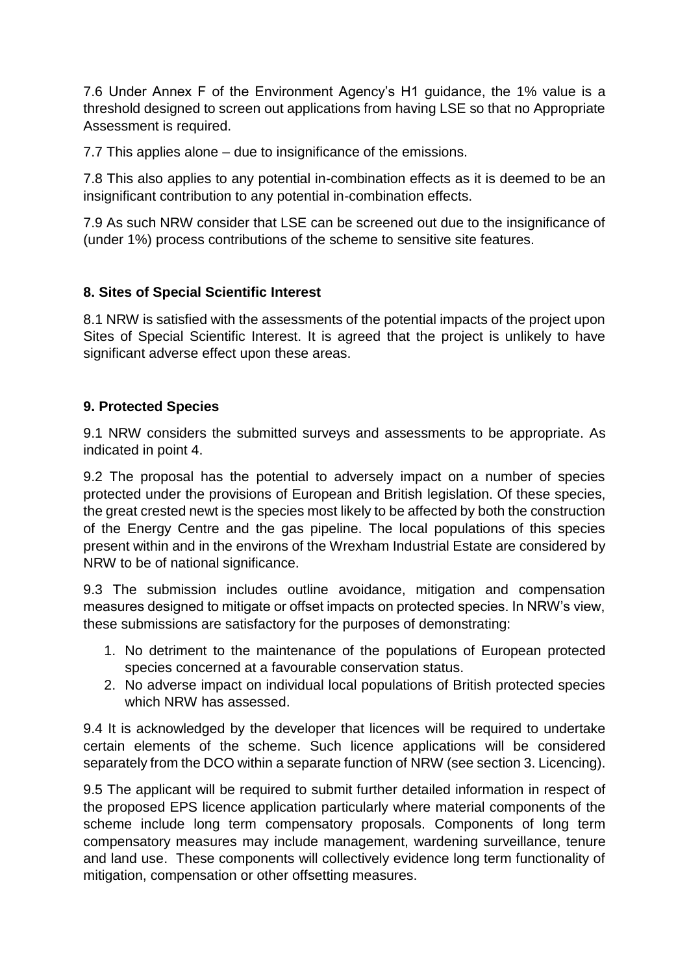7.6 Under Annex F of the Environment Agency's H1 guidance, the 1% value is a threshold designed to screen out applications from having LSE so that no Appropriate Assessment is required.

7.7 This applies alone – due to insignificance of the emissions.

7.8 This also applies to any potential in-combination effects as it is deemed to be an insignificant contribution to any potential in-combination effects.

7.9 As such NRW consider that LSE can be screened out due to the insignificance of (under 1%) process contributions of the scheme to sensitive site features.

#### **8. Sites of Special Scientific Interest**

8.1 NRW is satisfied with the assessments of the potential impacts of the project upon Sites of Special Scientific Interest. It is agreed that the project is unlikely to have significant adverse effect upon these areas.

#### **9. Protected Species**

9.1 NRW considers the submitted surveys and assessments to be appropriate. As indicated in point 4.

9.2 The proposal has the potential to adversely impact on a number of species protected under the provisions of European and British legislation. Of these species, the great crested newt is the species most likely to be affected by both the construction of the Energy Centre and the gas pipeline. The local populations of this species present within and in the environs of the Wrexham Industrial Estate are considered by NRW to be of national significance.

9.3 The submission includes outline avoidance, mitigation and compensation measures designed to mitigate or offset impacts on protected species. In NRW's view, these submissions are satisfactory for the purposes of demonstrating:

- 1. No detriment to the maintenance of the populations of European protected species concerned at a favourable conservation status.
- 2. No adverse impact on individual local populations of British protected species which NRW has assessed.

9.4 It is acknowledged by the developer that licences will be required to undertake certain elements of the scheme. Such licence applications will be considered separately from the DCO within a separate function of NRW (see section 3. Licencing).

9.5 The applicant will be required to submit further detailed information in respect of the proposed EPS licence application particularly where material components of the scheme include long term compensatory proposals. Components of long term compensatory measures may include management, wardening surveillance, tenure and land use. These components will collectively evidence long term functionality of mitigation, compensation or other offsetting measures.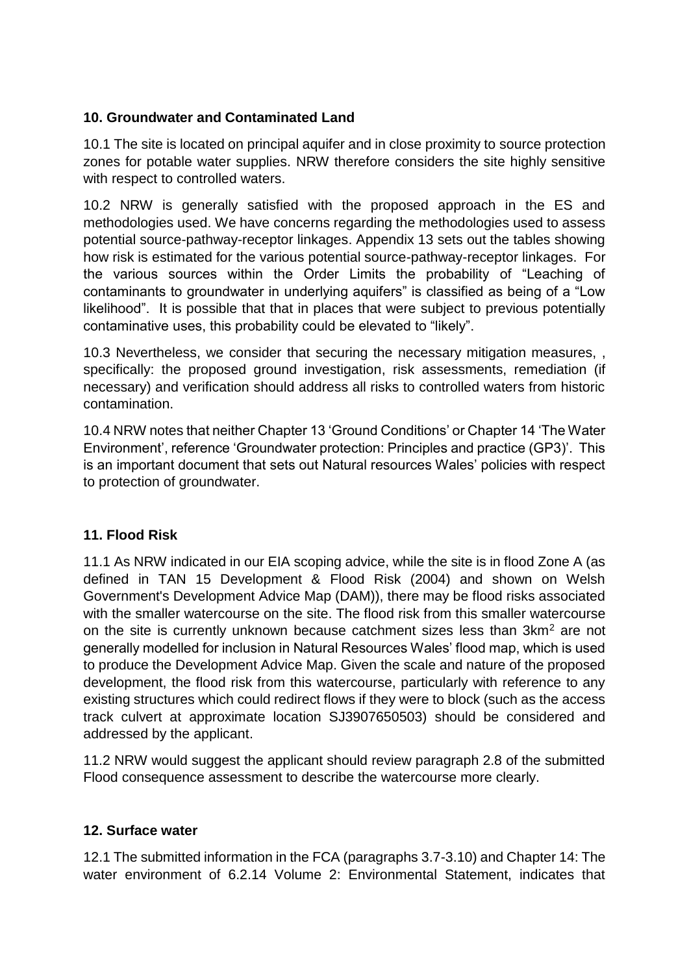#### **10. Groundwater and Contaminated Land**

10.1 The site is located on principal aquifer and in close proximity to source protection zones for potable water supplies. NRW therefore considers the site highly sensitive with respect to controlled waters.

10.2 NRW is generally satisfied with the proposed approach in the ES and methodologies used. We have concerns regarding the methodologies used to assess potential source-pathway-receptor linkages. Appendix 13 sets out the tables showing how risk is estimated for the various potential source-pathway-receptor linkages. For the various sources within the Order Limits the probability of "Leaching of contaminants to groundwater in underlying aquifers" is classified as being of a "Low likelihood". It is possible that that in places that were subject to previous potentially contaminative uses, this probability could be elevated to "likely".

10.3 Nevertheless, we consider that securing the necessary mitigation measures, , specifically: the proposed ground investigation, risk assessments, remediation (if necessary) and verification should address all risks to controlled waters from historic contamination.

10.4 NRW notes that neither Chapter 13 'Ground Conditions' or Chapter 14 'The Water Environment', reference 'Groundwater protection: Principles and practice (GP3)'. This is an important document that sets out Natural resources Wales' policies with respect to protection of groundwater.

## **11. Flood Risk**

11.1 As NRW indicated in our EIA scoping advice, while the site is in flood Zone A (as defined in TAN 15 Development & Flood Risk (2004) and shown on Welsh Government's Development Advice Map (DAM)), there may be flood risks associated with the smaller watercourse on the site. The flood risk from this smaller watercourse on the site is currently unknown because catchment sizes less than 3km<sup>2</sup> are not generally modelled for inclusion in Natural Resources Wales' flood map, which is used to produce the Development Advice Map. Given the scale and nature of the proposed development, the flood risk from this watercourse, particularly with reference to any existing structures which could redirect flows if they were to block (such as the access track culvert at approximate location SJ3907650503) should be considered and addressed by the applicant.

11.2 NRW would suggest the applicant should review paragraph 2.8 of the submitted Flood consequence assessment to describe the watercourse more clearly.

#### **12. Surface water**

12.1 The submitted information in the FCA (paragraphs 3.7-3.10) and Chapter 14: The water environment of 6.2.14 Volume 2: Environmental Statement, indicates that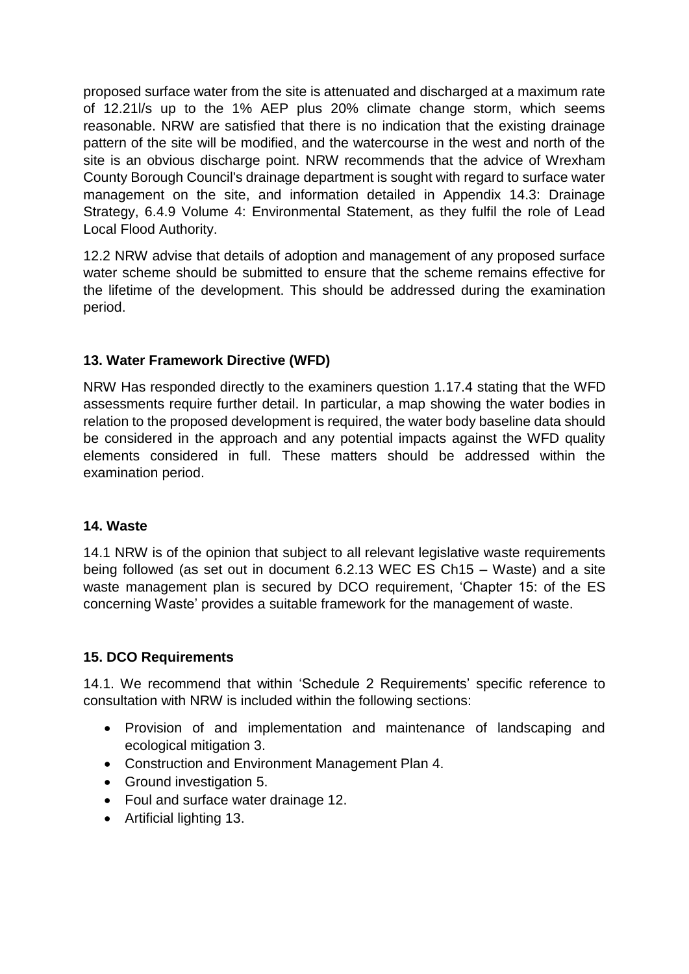proposed surface water from the site is attenuated and discharged at a maximum rate of 12.21l/s up to the 1% AEP plus 20% climate change storm, which seems reasonable. NRW are satisfied that there is no indication that the existing drainage pattern of the site will be modified, and the watercourse in the west and north of the site is an obvious discharge point. NRW recommends that the advice of Wrexham County Borough Council's drainage department is sought with regard to surface water management on the site, and information detailed in Appendix 14.3: Drainage Strategy, 6.4.9 Volume 4: Environmental Statement, as they fulfil the role of Lead Local Flood Authority.

12.2 NRW advise that details of adoption and management of any proposed surface water scheme should be submitted to ensure that the scheme remains effective for the lifetime of the development. This should be addressed during the examination period.

## **13. Water Framework Directive (WFD)**

NRW Has responded directly to the examiners question 1.17.4 stating that the WFD assessments require further detail. In particular, a map showing the water bodies in relation to the proposed development is required, the water body baseline data should be considered in the approach and any potential impacts against the WFD quality elements considered in full. These matters should be addressed within the examination period.

#### **14. Waste**

14.1 NRW is of the opinion that subject to all relevant legislative waste requirements being followed (as set out in document 6.2.13 WEC ES Ch15 – Waste) and a site waste management plan is secured by DCO requirement, 'Chapter 15: of the ES concerning Waste' provides a suitable framework for the management of waste.

#### **15. DCO Requirements**

14.1. We recommend that within 'Schedule 2 Requirements' specific reference to consultation with NRW is included within the following sections:

- Provision of and implementation and maintenance of landscaping and ecological mitigation 3.
- Construction and Environment Management Plan 4.
- Ground investigation 5.
- Foul and surface water drainage 12.
- Artificial lighting 13.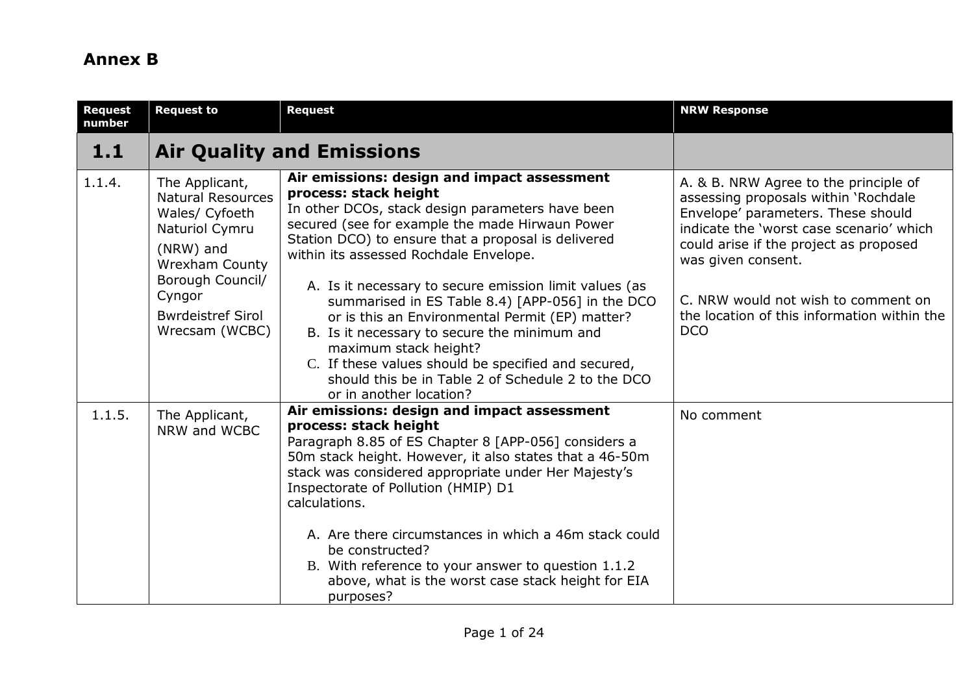# **Annex B**

| <b>Request</b><br>number | <b>Request to</b>                                                                                                                                                                                | <b>Request</b>                                                                                                                                                                                                                                                                                                                                                                                                                                                                                                                                                                                                                                                 | <b>NRW Response</b>                                                                                                                                                                                                                                                                                                                 |
|--------------------------|--------------------------------------------------------------------------------------------------------------------------------------------------------------------------------------------------|----------------------------------------------------------------------------------------------------------------------------------------------------------------------------------------------------------------------------------------------------------------------------------------------------------------------------------------------------------------------------------------------------------------------------------------------------------------------------------------------------------------------------------------------------------------------------------------------------------------------------------------------------------------|-------------------------------------------------------------------------------------------------------------------------------------------------------------------------------------------------------------------------------------------------------------------------------------------------------------------------------------|
| 1.1                      |                                                                                                                                                                                                  | <b>Air Quality and Emissions</b>                                                                                                                                                                                                                                                                                                                                                                                                                                                                                                                                                                                                                               |                                                                                                                                                                                                                                                                                                                                     |
| 1.1.4.                   | The Applicant,<br><b>Natural Resources</b><br>Wales/ Cyfoeth<br>Naturiol Cymru<br>(NRW) and<br><b>Wrexham County</b><br>Borough Council/<br>Cyngor<br><b>Bwrdeistref Sirol</b><br>Wrecsam (WCBC) | Air emissions: design and impact assessment<br>process: stack height<br>In other DCOs, stack design parameters have been<br>secured (see for example the made Hirwaun Power<br>Station DCO) to ensure that a proposal is delivered<br>within its assessed Rochdale Envelope.<br>A. Is it necessary to secure emission limit values (as<br>summarised in ES Table 8.4) [APP-056] in the DCO<br>or is this an Environmental Permit (EP) matter?<br>B. Is it necessary to secure the minimum and<br>maximum stack height?<br>C. If these values should be specified and secured,<br>should this be in Table 2 of Schedule 2 to the DCO<br>or in another location? | A. & B. NRW Agree to the principle of<br>assessing proposals within 'Rochdale<br>Envelope' parameters. These should<br>indicate the 'worst case scenario' which<br>could arise if the project as proposed<br>was given consent.<br>C. NRW would not wish to comment on<br>the location of this information within the<br><b>DCO</b> |
| 1.1.5.                   | The Applicant,<br>NRW and WCBC                                                                                                                                                                   | Air emissions: design and impact assessment<br>process: stack height<br>Paragraph 8.85 of ES Chapter 8 [APP-056] considers a<br>50m stack height. However, it also states that a 46-50m<br>stack was considered appropriate under Her Majesty's<br>Inspectorate of Pollution (HMIP) D1<br>calculations.<br>A. Are there circumstances in which a 46m stack could<br>be constructed?<br>B. With reference to your answer to question 1.1.2<br>above, what is the worst case stack height for EIA<br>purposes?                                                                                                                                                   | No comment                                                                                                                                                                                                                                                                                                                          |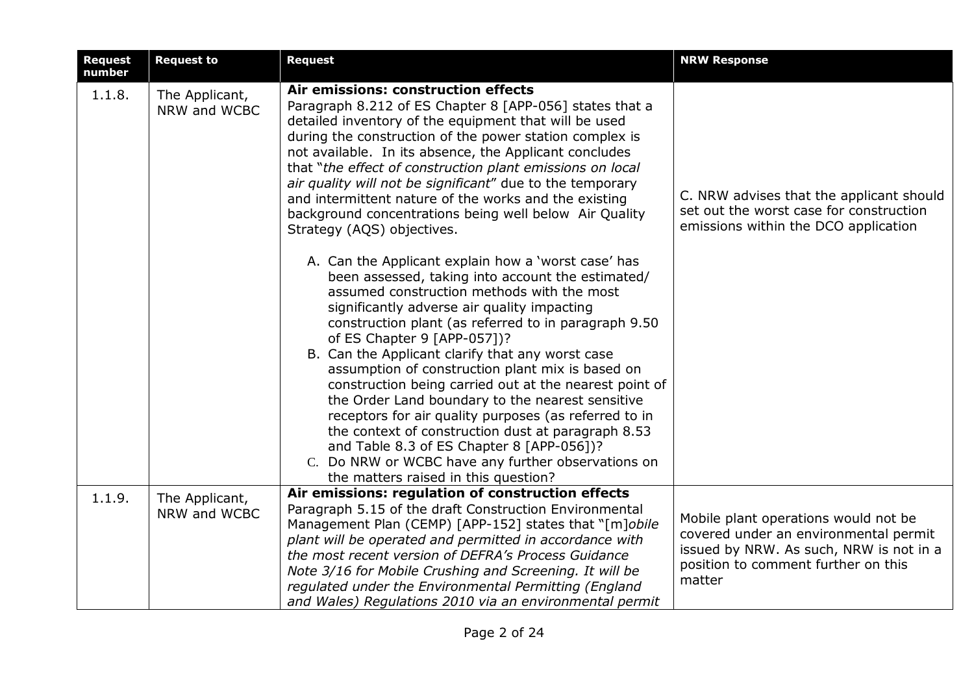| <b>Request</b><br>number | <b>Request to</b>              | <b>Request</b>                                                                                                                                                                                                                                                                                                                                                                                                                                                                                                                                                                                                                                                                                                                                                               | <b>NRW Response</b>                                                                                                                                                       |
|--------------------------|--------------------------------|------------------------------------------------------------------------------------------------------------------------------------------------------------------------------------------------------------------------------------------------------------------------------------------------------------------------------------------------------------------------------------------------------------------------------------------------------------------------------------------------------------------------------------------------------------------------------------------------------------------------------------------------------------------------------------------------------------------------------------------------------------------------------|---------------------------------------------------------------------------------------------------------------------------------------------------------------------------|
| 1.1.8.                   | The Applicant,<br>NRW and WCBC | Air emissions: construction effects<br>Paragraph 8.212 of ES Chapter 8 [APP-056] states that a<br>detailed inventory of the equipment that will be used<br>during the construction of the power station complex is<br>not available. In its absence, the Applicant concludes<br>that "the effect of construction plant emissions on local<br>air quality will not be significant" due to the temporary<br>and intermittent nature of the works and the existing<br>background concentrations being well below Air Quality<br>Strategy (AQS) objectives.                                                                                                                                                                                                                      | C. NRW advises that the applicant should<br>set out the worst case for construction<br>emissions within the DCO application                                               |
|                          |                                | A. Can the Applicant explain how a 'worst case' has<br>been assessed, taking into account the estimated/<br>assumed construction methods with the most<br>significantly adverse air quality impacting<br>construction plant (as referred to in paragraph 9.50<br>of ES Chapter 9 [APP-057])?<br>B. Can the Applicant clarify that any worst case<br>assumption of construction plant mix is based on<br>construction being carried out at the nearest point of<br>the Order Land boundary to the nearest sensitive<br>receptors for air quality purposes (as referred to in<br>the context of construction dust at paragraph 8.53<br>and Table 8.3 of ES Chapter 8 [APP-056])?<br>C. Do NRW or WCBC have any further observations on<br>the matters raised in this question? |                                                                                                                                                                           |
| 1.1.9.                   | The Applicant,<br>NRW and WCBC | Air emissions: regulation of construction effects<br>Paragraph 5.15 of the draft Construction Environmental<br>Management Plan (CEMP) [APP-152] states that "[m]obile<br>plant will be operated and permitted in accordance with<br>the most recent version of DEFRA's Process Guidance<br>Note 3/16 for Mobile Crushing and Screening. It will be<br>regulated under the Environmental Permitting (England<br>and Wales) Regulations 2010 via an environmental permit                                                                                                                                                                                                                                                                                                       | Mobile plant operations would not be<br>covered under an environmental permit<br>issued by NRW. As such, NRW is not in a<br>position to comment further on this<br>matter |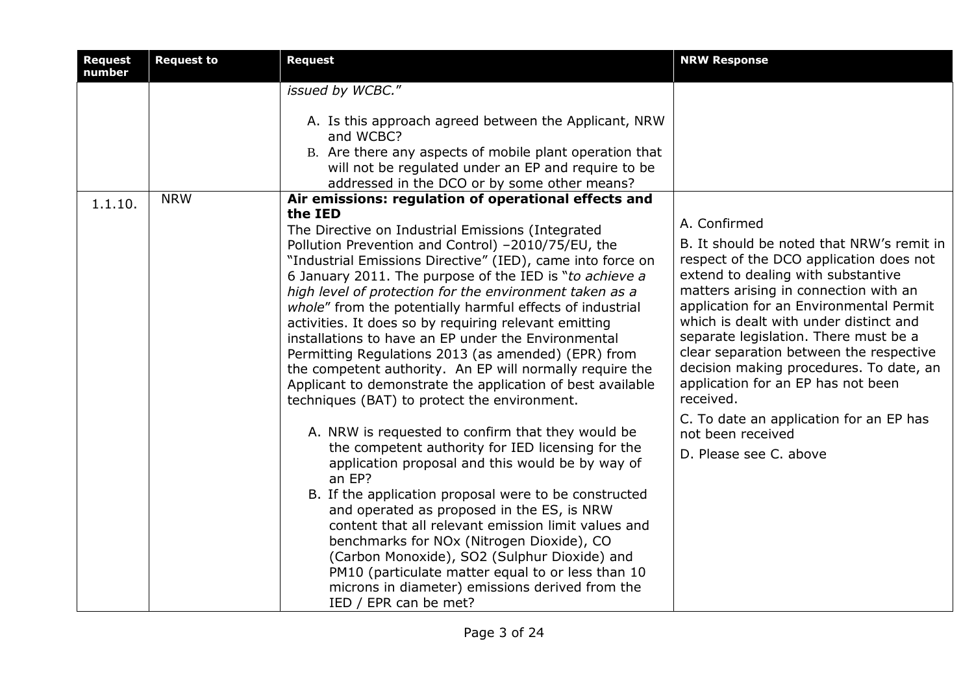| <b>Request</b><br>number | <b>Request to</b> | <b>Request</b>                                                                                                                                                                                                                                                                                                                                                                                                                                                                                                                                                                                                                                                                                                                                                                                                                                                                         | <b>NRW Response</b>                                                                                                                                                                                                                                                                                                                                                                                                                                                                                                        |
|--------------------------|-------------------|----------------------------------------------------------------------------------------------------------------------------------------------------------------------------------------------------------------------------------------------------------------------------------------------------------------------------------------------------------------------------------------------------------------------------------------------------------------------------------------------------------------------------------------------------------------------------------------------------------------------------------------------------------------------------------------------------------------------------------------------------------------------------------------------------------------------------------------------------------------------------------------|----------------------------------------------------------------------------------------------------------------------------------------------------------------------------------------------------------------------------------------------------------------------------------------------------------------------------------------------------------------------------------------------------------------------------------------------------------------------------------------------------------------------------|
|                          |                   | issued by WCBC."                                                                                                                                                                                                                                                                                                                                                                                                                                                                                                                                                                                                                                                                                                                                                                                                                                                                       |                                                                                                                                                                                                                                                                                                                                                                                                                                                                                                                            |
|                          |                   | A. Is this approach agreed between the Applicant, NRW<br>and WCBC?<br>B. Are there any aspects of mobile plant operation that<br>will not be regulated under an EP and require to be<br>addressed in the DCO or by some other means?                                                                                                                                                                                                                                                                                                                                                                                                                                                                                                                                                                                                                                                   |                                                                                                                                                                                                                                                                                                                                                                                                                                                                                                                            |
| 1.1.10.                  | <b>NRW</b>        | Air emissions: regulation of operational effects and<br>the IED<br>The Directive on Industrial Emissions (Integrated<br>Pollution Prevention and Control) -2010/75/EU, the<br>"Industrial Emissions Directive" (IED), came into force on<br>6 January 2011. The purpose of the IED is "to achieve a<br>high level of protection for the environment taken as a<br>whole" from the potentially harmful effects of industrial<br>activities. It does so by requiring relevant emitting<br>installations to have an EP under the Environmental<br>Permitting Regulations 2013 (as amended) (EPR) from<br>the competent authority. An EP will normally require the<br>Applicant to demonstrate the application of best available<br>techniques (BAT) to protect the environment.<br>A. NRW is requested to confirm that they would be<br>the competent authority for IED licensing for the | A. Confirmed<br>B. It should be noted that NRW's remit in<br>respect of the DCO application does not<br>extend to dealing with substantive<br>matters arising in connection with an<br>application for an Environmental Permit<br>which is dealt with under distinct and<br>separate legislation. There must be a<br>clear separation between the respective<br>decision making procedures. To date, an<br>application for an EP has not been<br>received.<br>C. To date an application for an EP has<br>not been received |
|                          |                   | application proposal and this would be by way of<br>an EP?<br>B. If the application proposal were to be constructed<br>and operated as proposed in the ES, is NRW<br>content that all relevant emission limit values and<br>benchmarks for NOx (Nitrogen Dioxide), CO<br>(Carbon Monoxide), SO2 (Sulphur Dioxide) and<br>PM10 (particulate matter equal to or less than 10<br>microns in diameter) emissions derived from the<br>IED / EPR can be met?                                                                                                                                                                                                                                                                                                                                                                                                                                 | D. Please see C. above                                                                                                                                                                                                                                                                                                                                                                                                                                                                                                     |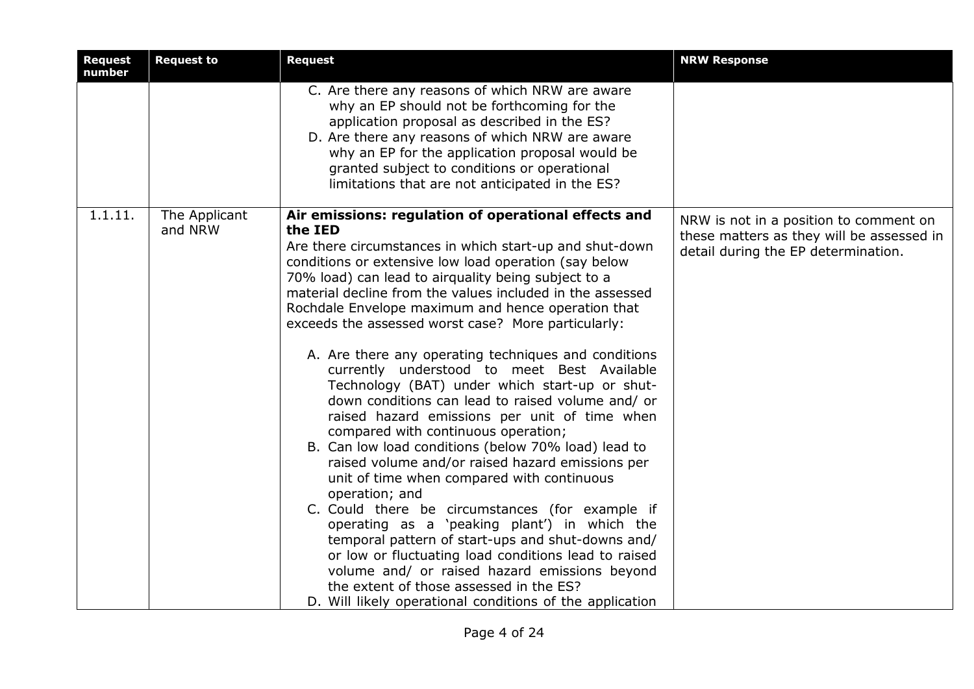| <b>Request</b><br>number | <b>Request to</b>        | <b>Request</b>                                                                                                                                                                                                                                                                                                                                                                                                                                                                                                                                                                                                                                                                                                                                                                                                                                                                                                                                                                                                                                                                                                                                                                                                                                                                | <b>NRW Response</b>                                                                                                        |
|--------------------------|--------------------------|-------------------------------------------------------------------------------------------------------------------------------------------------------------------------------------------------------------------------------------------------------------------------------------------------------------------------------------------------------------------------------------------------------------------------------------------------------------------------------------------------------------------------------------------------------------------------------------------------------------------------------------------------------------------------------------------------------------------------------------------------------------------------------------------------------------------------------------------------------------------------------------------------------------------------------------------------------------------------------------------------------------------------------------------------------------------------------------------------------------------------------------------------------------------------------------------------------------------------------------------------------------------------------|----------------------------------------------------------------------------------------------------------------------------|
|                          |                          | C. Are there any reasons of which NRW are aware<br>why an EP should not be forthcoming for the<br>application proposal as described in the ES?<br>D. Are there any reasons of which NRW are aware<br>why an EP for the application proposal would be<br>granted subject to conditions or operational<br>limitations that are not anticipated in the ES?                                                                                                                                                                                                                                                                                                                                                                                                                                                                                                                                                                                                                                                                                                                                                                                                                                                                                                                       |                                                                                                                            |
| 1.1.11.                  | The Applicant<br>and NRW | Air emissions: regulation of operational effects and<br>the IED<br>Are there circumstances in which start-up and shut-down<br>conditions or extensive low load operation (say below<br>70% load) can lead to airquality being subject to a<br>material decline from the values included in the assessed<br>Rochdale Envelope maximum and hence operation that<br>exceeds the assessed worst case? More particularly:<br>A. Are there any operating techniques and conditions<br>currently understood to meet Best Available<br>Technology (BAT) under which start-up or shut-<br>down conditions can lead to raised volume and/ or<br>raised hazard emissions per unit of time when<br>compared with continuous operation;<br>B. Can low load conditions (below 70% load) lead to<br>raised volume and/or raised hazard emissions per<br>unit of time when compared with continuous<br>operation; and<br>C. Could there be circumstances (for example if<br>operating as a 'peaking plant') in which the<br>temporal pattern of start-ups and shut-downs and/<br>or low or fluctuating load conditions lead to raised<br>volume and/ or raised hazard emissions beyond<br>the extent of those assessed in the ES?<br>D. Will likely operational conditions of the application | NRW is not in a position to comment on<br>these matters as they will be assessed in<br>detail during the EP determination. |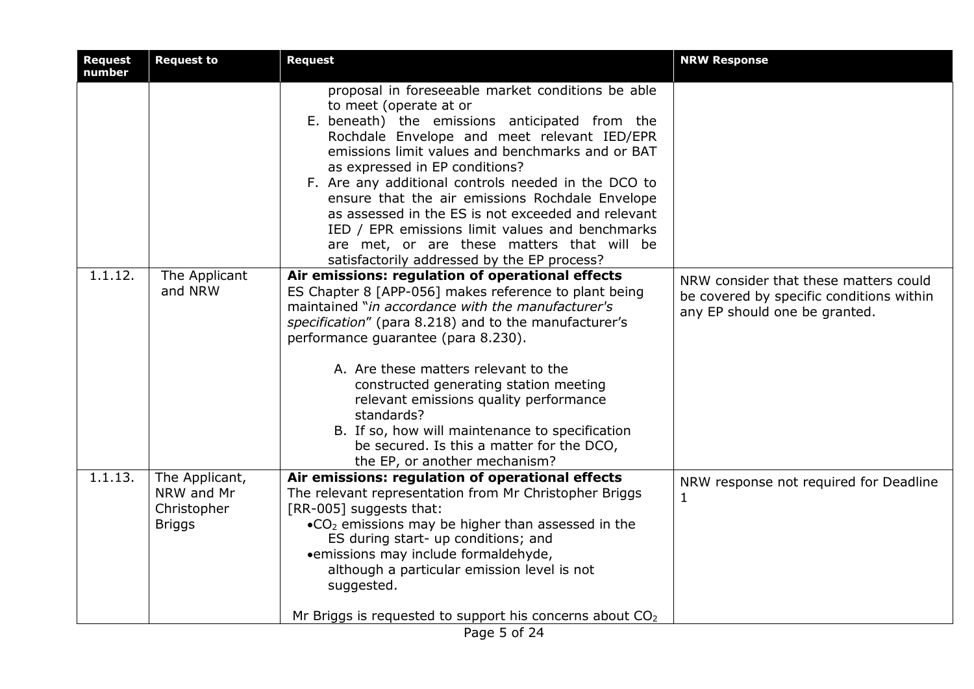| <b>Request</b><br>number | <b>Request to</b>                                            | Request                                                                                                                                                                                                                                                                                                                                                                                                                                                                                                                                                                            | <b>NRW Response</b>                                                                                                |
|--------------------------|--------------------------------------------------------------|------------------------------------------------------------------------------------------------------------------------------------------------------------------------------------------------------------------------------------------------------------------------------------------------------------------------------------------------------------------------------------------------------------------------------------------------------------------------------------------------------------------------------------------------------------------------------------|--------------------------------------------------------------------------------------------------------------------|
|                          |                                                              | proposal in foreseeable market conditions be able<br>to meet (operate at or<br>E. beneath) the emissions anticipated from the<br>Rochdale Envelope and meet relevant IED/EPR<br>emissions limit values and benchmarks and or BAT<br>as expressed in EP conditions?<br>F. Are any additional controls needed in the DCO to<br>ensure that the air emissions Rochdale Envelope<br>as assessed in the ES is not exceeded and relevant<br>IED / EPR emissions limit values and benchmarks<br>are met, or are these matters that will be<br>satisfactorily addressed by the EP process? |                                                                                                                    |
| 1.1.12.                  | The Applicant<br>and NRW                                     | Air emissions: regulation of operational effects<br>ES Chapter 8 [APP-056] makes reference to plant being<br>maintained "in accordance with the manufacturer's<br>specification" (para 8.218) and to the manufacturer's<br>performance guarantee (para 8.230).<br>A. Are these matters relevant to the<br>constructed generating station meeting<br>relevant emissions quality performance<br>standards?<br>B. If so, how will maintenance to specification<br>be secured. Is this a matter for the DCO,<br>the EP, or another mechanism?                                          | NRW consider that these matters could<br>be covered by specific conditions within<br>any EP should one be granted. |
| 1.1.13.                  | The Applicant,<br>NRW and Mr<br>Christopher<br><b>Briggs</b> | Air emissions: regulation of operational effects<br>The relevant representation from Mr Christopher Briggs<br>[RR-005] suggests that:<br>$\bullet$ CO <sub>2</sub> emissions may be higher than assessed in the<br>ES during start- up conditions; and<br>• emissions may include formaldehyde,<br>although a particular emission level is not<br>suggested.<br>Mr Briggs is requested to support his concerns about $CO2$                                                                                                                                                         | NRW response not required for Deadline<br>$\mathbf{1}$                                                             |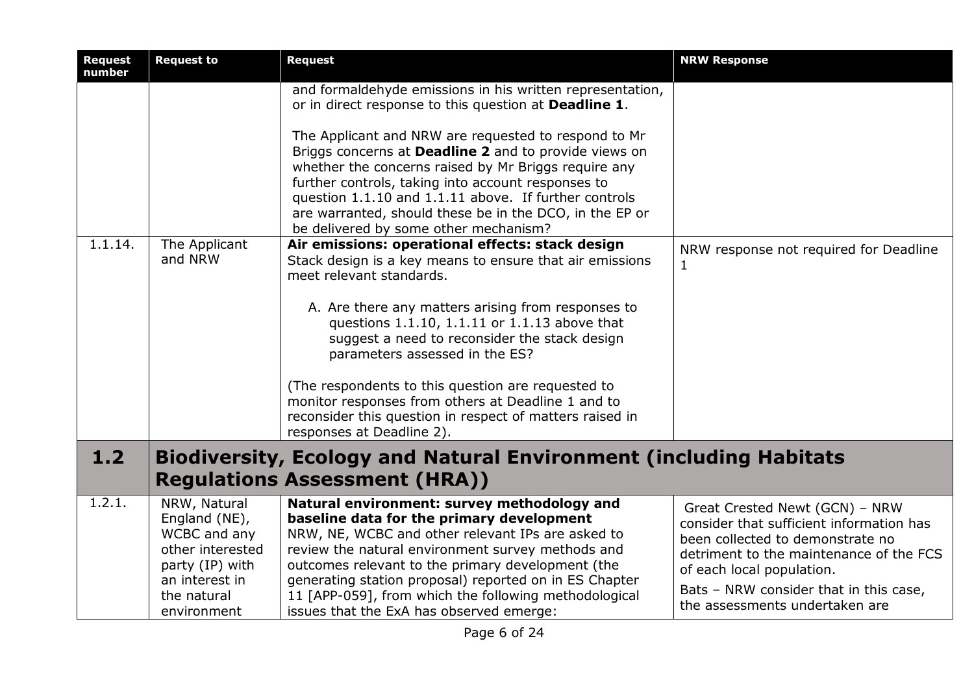| <b>Request</b><br>number | <b>Request to</b>                                                                                                                    | <b>Request</b>                                                                                                                                                                                                                                                                                                                                                                                                                                                                                                                                                     | <b>NRW Response</b>                                                                                                                                                                                                                                                |
|--------------------------|--------------------------------------------------------------------------------------------------------------------------------------|--------------------------------------------------------------------------------------------------------------------------------------------------------------------------------------------------------------------------------------------------------------------------------------------------------------------------------------------------------------------------------------------------------------------------------------------------------------------------------------------------------------------------------------------------------------------|--------------------------------------------------------------------------------------------------------------------------------------------------------------------------------------------------------------------------------------------------------------------|
| 1.1.14.                  | The Applicant                                                                                                                        | and formaldehyde emissions in his written representation,<br>or in direct response to this question at Deadline 1.<br>The Applicant and NRW are requested to respond to Mr<br>Briggs concerns at Deadline 2 and to provide views on<br>whether the concerns raised by Mr Briggs require any<br>further controls, taking into account responses to<br>question 1.1.10 and 1.1.11 above. If further controls<br>are warranted, should these be in the DCO, in the EP or<br>be delivered by some other mechanism?<br>Air emissions: operational effects: stack design | NRW response not required for Deadline                                                                                                                                                                                                                             |
|                          | and NRW                                                                                                                              | Stack design is a key means to ensure that air emissions<br>meet relevant standards.<br>A. Are there any matters arising from responses to<br>questions 1.1.10, 1.1.11 or 1.1.13 above that<br>suggest a need to reconsider the stack design<br>parameters assessed in the ES?<br>(The respondents to this question are requested to<br>monitor responses from others at Deadline 1 and to<br>reconsider this question in respect of matters raised in<br>responses at Deadline 2).                                                                                | 1                                                                                                                                                                                                                                                                  |
| $1.2$                    |                                                                                                                                      | <b>Biodiversity, Ecology and Natural Environment (including Habitats</b><br><b>Regulations Assessment (HRA))</b>                                                                                                                                                                                                                                                                                                                                                                                                                                                   |                                                                                                                                                                                                                                                                    |
| 1.2.1.                   | NRW, Natural<br>England (NE),<br>WCBC and any<br>other interested<br>party (IP) with<br>an interest in<br>the natural<br>environment | Natural environment: survey methodology and<br>baseline data for the primary development<br>NRW, NE, WCBC and other relevant IPs are asked to<br>review the natural environment survey methods and<br>outcomes relevant to the primary development (the<br>generating station proposal) reported on in ES Chapter<br>11 [APP-059], from which the following methodological<br>issues that the ExA has observed emerge:                                                                                                                                             | Great Crested Newt (GCN) - NRW<br>consider that sufficient information has<br>been collected to demonstrate no<br>detriment to the maintenance of the FCS<br>of each local population.<br>Bats - NRW consider that in this case,<br>the assessments undertaken are |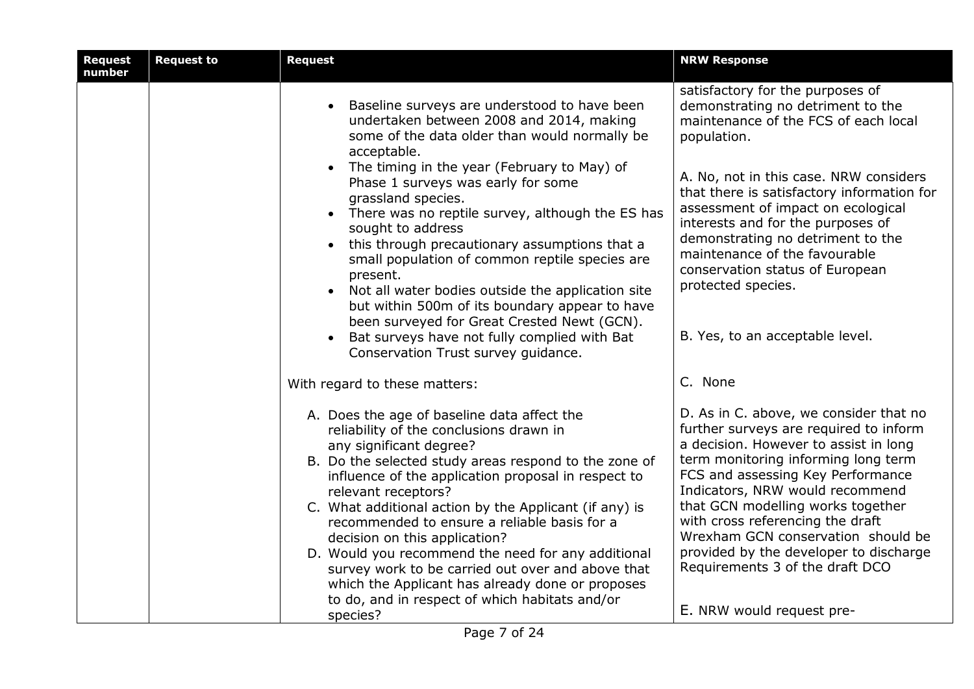| <b>Request</b><br>number | <b>Request to</b> | <b>Request</b>                                                                                                                                                                                                                                                                                                                                                                                                                                                                                                                                                                                                                                                                                                              | <b>NRW Response</b>                                                                                                                                                                                                                                                                                                                                                                                                                                               |
|--------------------------|-------------------|-----------------------------------------------------------------------------------------------------------------------------------------------------------------------------------------------------------------------------------------------------------------------------------------------------------------------------------------------------------------------------------------------------------------------------------------------------------------------------------------------------------------------------------------------------------------------------------------------------------------------------------------------------------------------------------------------------------------------------|-------------------------------------------------------------------------------------------------------------------------------------------------------------------------------------------------------------------------------------------------------------------------------------------------------------------------------------------------------------------------------------------------------------------------------------------------------------------|
|                          |                   | Baseline surveys are understood to have been<br>undertaken between 2008 and 2014, making<br>some of the data older than would normally be<br>acceptable.<br>• The timing in the year (February to May) of<br>Phase 1 surveys was early for some<br>grassland species.<br>• There was no reptile survey, although the ES has<br>sought to address<br>this through precautionary assumptions that a<br>$\bullet$<br>small population of common reptile species are<br>present.<br>• Not all water bodies outside the application site<br>but within 500m of its boundary appear to have<br>been surveyed for Great Crested Newt (GCN).<br>Bat surveys have not fully complied with Bat<br>Conservation Trust survey guidance. | satisfactory for the purposes of<br>demonstrating no detriment to the<br>maintenance of the FCS of each local<br>population.<br>A. No, not in this case. NRW considers<br>that there is satisfactory information for<br>assessment of impact on ecological<br>interests and for the purposes of<br>demonstrating no detriment to the<br>maintenance of the favourable<br>conservation status of European<br>protected species.<br>B. Yes, to an acceptable level. |
|                          |                   | With regard to these matters:                                                                                                                                                                                                                                                                                                                                                                                                                                                                                                                                                                                                                                                                                               | C. None                                                                                                                                                                                                                                                                                                                                                                                                                                                           |
|                          |                   | A. Does the age of baseline data affect the<br>reliability of the conclusions drawn in<br>any significant degree?<br>B. Do the selected study areas respond to the zone of<br>influence of the application proposal in respect to<br>relevant receptors?<br>C. What additional action by the Applicant (if any) is<br>recommended to ensure a reliable basis for a<br>decision on this application?<br>D. Would you recommend the need for any additional<br>survey work to be carried out over and above that<br>which the Applicant has already done or proposes<br>to do, and in respect of which habitats and/or<br>species?                                                                                            | D. As in C. above, we consider that no<br>further surveys are required to inform<br>a decision. However to assist in long<br>term monitoring informing long term<br>FCS and assessing Key Performance<br>Indicators, NRW would recommend<br>that GCN modelling works together<br>with cross referencing the draft<br>Wrexham GCN conservation should be<br>provided by the developer to discharge<br>Requirements 3 of the draft DCO<br>E. NRW would request pre- |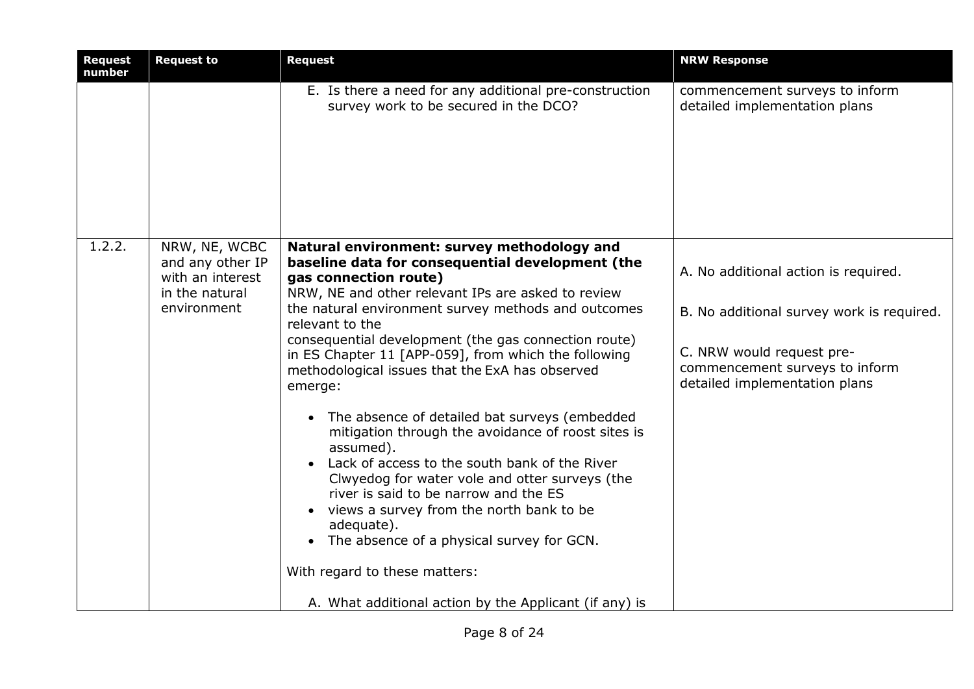| <b>Request</b><br>number | <b>Request to</b>                                                                      | <b>Request</b>                                                                                                                                                                                                                                                                                                                                                                                                                                                                                                                                                                                                                                                                                                                                                                                                                                                                                                        | <b>NRW Response</b>                                                                                                                                                               |
|--------------------------|----------------------------------------------------------------------------------------|-----------------------------------------------------------------------------------------------------------------------------------------------------------------------------------------------------------------------------------------------------------------------------------------------------------------------------------------------------------------------------------------------------------------------------------------------------------------------------------------------------------------------------------------------------------------------------------------------------------------------------------------------------------------------------------------------------------------------------------------------------------------------------------------------------------------------------------------------------------------------------------------------------------------------|-----------------------------------------------------------------------------------------------------------------------------------------------------------------------------------|
|                          |                                                                                        | E. Is there a need for any additional pre-construction<br>survey work to be secured in the DCO?                                                                                                                                                                                                                                                                                                                                                                                                                                                                                                                                                                                                                                                                                                                                                                                                                       | commencement surveys to inform<br>detailed implementation plans                                                                                                                   |
| 1.2.2.                   | NRW, NE, WCBC<br>and any other IP<br>with an interest<br>in the natural<br>environment | Natural environment: survey methodology and<br>baseline data for consequential development (the<br>gas connection route)<br>NRW, NE and other relevant IPs are asked to review<br>the natural environment survey methods and outcomes<br>relevant to the<br>consequential development (the gas connection route)<br>in ES Chapter 11 [APP-059], from which the following<br>methodological issues that the ExA has observed<br>emerge:<br>The absence of detailed bat surveys (embedded<br>mitigation through the avoidance of roost sites is<br>assumed).<br>Lack of access to the south bank of the River<br>Clwyedog for water vole and otter surveys (the<br>river is said to be narrow and the ES<br>views a survey from the north bank to be<br>adequate).<br>The absence of a physical survey for GCN.<br>$\bullet$<br>With regard to these matters:<br>A. What additional action by the Applicant (if any) is | A. No additional action is required.<br>B. No additional survey work is required.<br>C. NRW would request pre-<br>commencement surveys to inform<br>detailed implementation plans |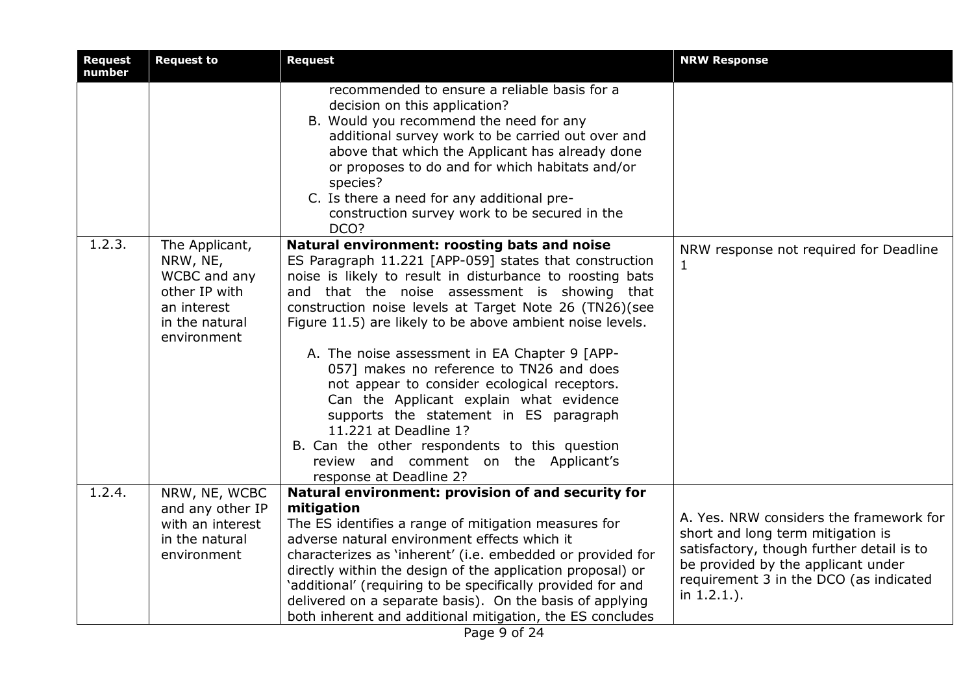| <b>Request</b><br>number | <b>Request to</b>                                                                                           | <b>Request</b>                                                                                                                                                                                                                                                                                                                                                                                                                                                                                                                                                                                                                                                                                                              | <b>NRW Response</b>                                                                                                                                                                                                      |
|--------------------------|-------------------------------------------------------------------------------------------------------------|-----------------------------------------------------------------------------------------------------------------------------------------------------------------------------------------------------------------------------------------------------------------------------------------------------------------------------------------------------------------------------------------------------------------------------------------------------------------------------------------------------------------------------------------------------------------------------------------------------------------------------------------------------------------------------------------------------------------------------|--------------------------------------------------------------------------------------------------------------------------------------------------------------------------------------------------------------------------|
|                          |                                                                                                             | recommended to ensure a reliable basis for a<br>decision on this application?<br>B. Would you recommend the need for any<br>additional survey work to be carried out over and<br>above that which the Applicant has already done<br>or proposes to do and for which habitats and/or<br>species?<br>C. Is there a need for any additional pre-<br>construction survey work to be secured in the<br>DCO?                                                                                                                                                                                                                                                                                                                      |                                                                                                                                                                                                                          |
| 1.2.3.                   | The Applicant,<br>NRW, NE,<br>WCBC and any<br>other IP with<br>an interest<br>in the natural<br>environment | Natural environment: roosting bats and noise<br>ES Paragraph 11.221 [APP-059] states that construction<br>noise is likely to result in disturbance to roosting bats<br>and that the noise assessment is showing that<br>construction noise levels at Target Note 26 (TN26)(see<br>Figure 11.5) are likely to be above ambient noise levels.<br>A. The noise assessment in EA Chapter 9 [APP-<br>057] makes no reference to TN26 and does<br>not appear to consider ecological receptors.<br>Can the Applicant explain what evidence<br>supports the statement in ES paragraph<br>11.221 at Deadline 1?<br>B. Can the other respondents to this question<br>review and comment on the Applicant's<br>response at Deadline 2? | NRW response not required for Deadline<br>$\mathbf{1}$                                                                                                                                                                   |
| 1.2.4.                   | NRW, NE, WCBC<br>and any other IP<br>with an interest<br>in the natural<br>environment                      | Natural environment: provision of and security for<br>mitigation<br>The ES identifies a range of mitigation measures for<br>adverse natural environment effects which it<br>characterizes as 'inherent' (i.e. embedded or provided for<br>directly within the design of the application proposal) or<br>'additional' (requiring to be specifically provided for and<br>delivered on a separate basis). On the basis of applying<br>both inherent and additional mitigation, the ES concludes                                                                                                                                                                                                                                | A. Yes. NRW considers the framework for<br>short and long term mitigation is<br>satisfactory, though further detail is to<br>be provided by the applicant under<br>requirement 3 in the DCO (as indicated<br>in 1.2.1.). |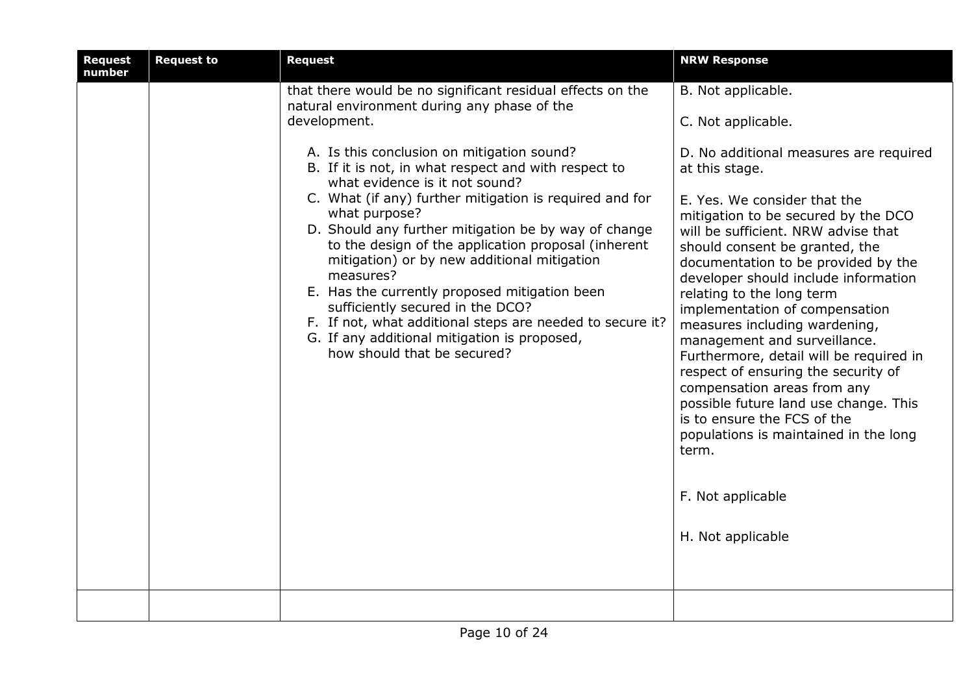| <b>Request</b><br>number | <b>Request to</b> | <b>Request</b>                                                                                                                                                                                                                                                                                                                                                                                                                                                                                                                                                                                                               | <b>NRW Response</b>                                                                                                                                                                                                                                                                                                                                                                                                                                                                                                                                                                                                                                                                                          |
|--------------------------|-------------------|------------------------------------------------------------------------------------------------------------------------------------------------------------------------------------------------------------------------------------------------------------------------------------------------------------------------------------------------------------------------------------------------------------------------------------------------------------------------------------------------------------------------------------------------------------------------------------------------------------------------------|--------------------------------------------------------------------------------------------------------------------------------------------------------------------------------------------------------------------------------------------------------------------------------------------------------------------------------------------------------------------------------------------------------------------------------------------------------------------------------------------------------------------------------------------------------------------------------------------------------------------------------------------------------------------------------------------------------------|
|                          |                   | that there would be no significant residual effects on the<br>natural environment during any phase of the<br>development.                                                                                                                                                                                                                                                                                                                                                                                                                                                                                                    | B. Not applicable.<br>C. Not applicable.                                                                                                                                                                                                                                                                                                                                                                                                                                                                                                                                                                                                                                                                     |
|                          |                   | A. Is this conclusion on mitigation sound?<br>B. If it is not, in what respect and with respect to<br>what evidence is it not sound?<br>C. What (if any) further mitigation is required and for<br>what purpose?<br>D. Should any further mitigation be by way of change<br>to the design of the application proposal (inherent<br>mitigation) or by new additional mitigation<br>measures?<br>E. Has the currently proposed mitigation been<br>sufficiently secured in the DCO?<br>F. If not, what additional steps are needed to secure it?<br>G. If any additional mitigation is proposed,<br>how should that be secured? | D. No additional measures are required<br>at this stage.<br>E. Yes. We consider that the<br>mitigation to be secured by the DCO<br>will be sufficient. NRW advise that<br>should consent be granted, the<br>documentation to be provided by the<br>developer should include information<br>relating to the long term<br>implementation of compensation<br>measures including wardening,<br>management and surveillance.<br>Furthermore, detail will be required in<br>respect of ensuring the security of<br>compensation areas from any<br>possible future land use change. This<br>is to ensure the FCS of the<br>populations is maintained in the long<br>term.<br>F. Not applicable<br>H. Not applicable |
|                          |                   |                                                                                                                                                                                                                                                                                                                                                                                                                                                                                                                                                                                                                              |                                                                                                                                                                                                                                                                                                                                                                                                                                                                                                                                                                                                                                                                                                              |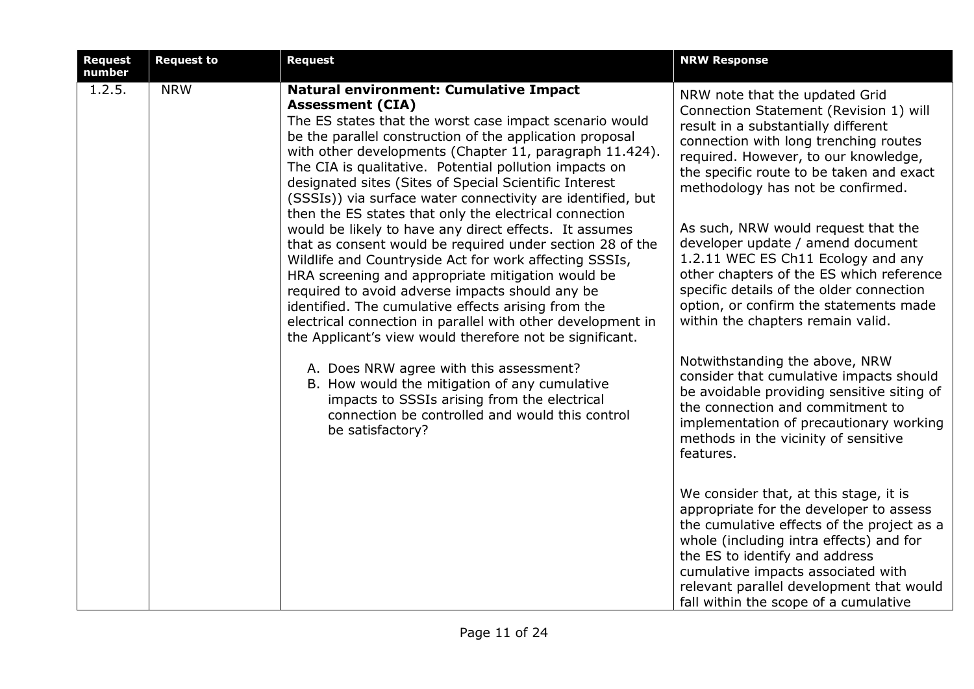| <b>Request</b><br>number | <b>Request to</b> | <b>Request</b>                                                                                                                                                                                                                                                                                                                                                                                                                                                                                                                                                                                                                                                                                                                                                                                                                                                                                                                                                                     | <b>NRW Response</b>                                                                                                                                                                                                                                                                                                                                                                                                                                                                                                                                                        |
|--------------------------|-------------------|------------------------------------------------------------------------------------------------------------------------------------------------------------------------------------------------------------------------------------------------------------------------------------------------------------------------------------------------------------------------------------------------------------------------------------------------------------------------------------------------------------------------------------------------------------------------------------------------------------------------------------------------------------------------------------------------------------------------------------------------------------------------------------------------------------------------------------------------------------------------------------------------------------------------------------------------------------------------------------|----------------------------------------------------------------------------------------------------------------------------------------------------------------------------------------------------------------------------------------------------------------------------------------------------------------------------------------------------------------------------------------------------------------------------------------------------------------------------------------------------------------------------------------------------------------------------|
| $\overline{1.2.5}$ .     | <b>NRW</b>        | <b>Natural environment: Cumulative Impact</b><br><b>Assessment (CIA)</b><br>The ES states that the worst case impact scenario would<br>be the parallel construction of the application proposal<br>with other developments (Chapter 11, paragraph 11.424).<br>The CIA is qualitative. Potential pollution impacts on<br>designated sites (Sites of Special Scientific Interest<br>(SSSIs)) via surface water connectivity are identified, but<br>then the ES states that only the electrical connection<br>would be likely to have any direct effects. It assumes<br>that as consent would be required under section 28 of the<br>Wildlife and Countryside Act for work affecting SSSIs,<br>HRA screening and appropriate mitigation would be<br>required to avoid adverse impacts should any be<br>identified. The cumulative effects arising from the<br>electrical connection in parallel with other development in<br>the Applicant's view would therefore not be significant. | NRW note that the updated Grid<br>Connection Statement (Revision 1) will<br>result in a substantially different<br>connection with long trenching routes<br>required. However, to our knowledge,<br>the specific route to be taken and exact<br>methodology has not be confirmed.<br>As such, NRW would request that the<br>developer update / amend document<br>1.2.11 WEC ES Ch11 Ecology and any<br>other chapters of the ES which reference<br>specific details of the older connection<br>option, or confirm the statements made<br>within the chapters remain valid. |
|                          |                   | A. Does NRW agree with this assessment?<br>B. How would the mitigation of any cumulative<br>impacts to SSSIs arising from the electrical<br>connection be controlled and would this control<br>be satisfactory?                                                                                                                                                                                                                                                                                                                                                                                                                                                                                                                                                                                                                                                                                                                                                                    | Notwithstanding the above, NRW<br>consider that cumulative impacts should<br>be avoidable providing sensitive siting of<br>the connection and commitment to<br>implementation of precautionary working<br>methods in the vicinity of sensitive<br>features.                                                                                                                                                                                                                                                                                                                |
|                          |                   |                                                                                                                                                                                                                                                                                                                                                                                                                                                                                                                                                                                                                                                                                                                                                                                                                                                                                                                                                                                    | We consider that, at this stage, it is<br>appropriate for the developer to assess<br>the cumulative effects of the project as a<br>whole (including intra effects) and for<br>the ES to identify and address<br>cumulative impacts associated with<br>relevant parallel development that would<br>fall within the scope of a cumulative                                                                                                                                                                                                                                    |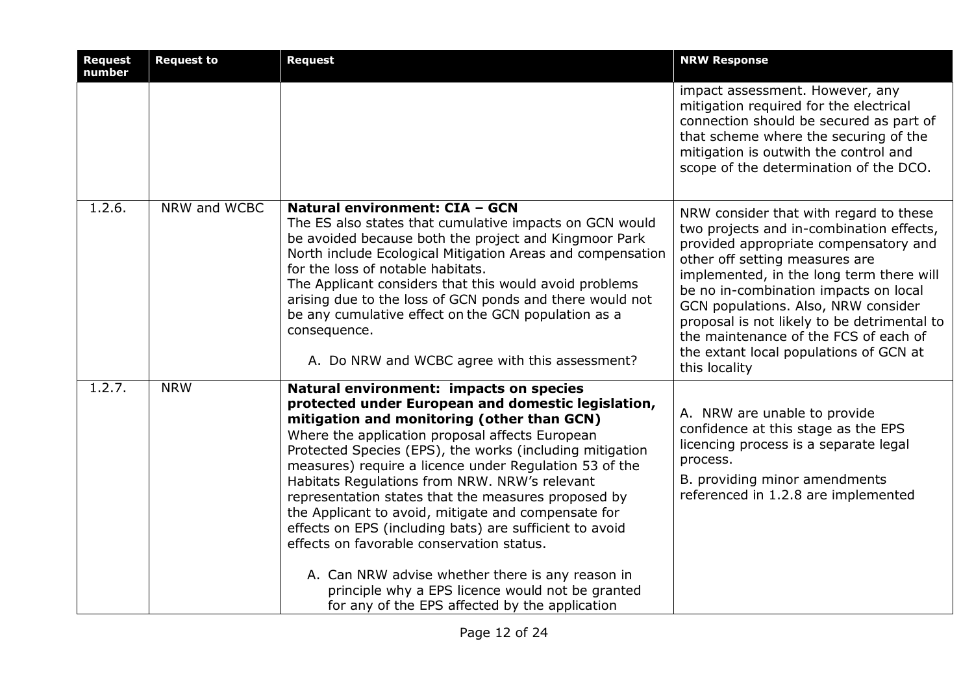| <b>Request</b><br>number | <b>Request to</b> | <b>Request</b>                                                                                                                                                                                                                                                                                                                                                                                                                                                                                                                                                                                                                                                                                                                                        | <b>NRW Response</b>                                                                                                                                                                                                                                                                                                                                                                                                                          |
|--------------------------|-------------------|-------------------------------------------------------------------------------------------------------------------------------------------------------------------------------------------------------------------------------------------------------------------------------------------------------------------------------------------------------------------------------------------------------------------------------------------------------------------------------------------------------------------------------------------------------------------------------------------------------------------------------------------------------------------------------------------------------------------------------------------------------|----------------------------------------------------------------------------------------------------------------------------------------------------------------------------------------------------------------------------------------------------------------------------------------------------------------------------------------------------------------------------------------------------------------------------------------------|
|                          |                   |                                                                                                                                                                                                                                                                                                                                                                                                                                                                                                                                                                                                                                                                                                                                                       | impact assessment. However, any<br>mitigation required for the electrical<br>connection should be secured as part of<br>that scheme where the securing of the<br>mitigation is outwith the control and<br>scope of the determination of the DCO.                                                                                                                                                                                             |
| 1.2.6.                   | NRW and WCBC      | Natural environment: CIA - GCN<br>The ES also states that cumulative impacts on GCN would<br>be avoided because both the project and Kingmoor Park<br>North include Ecological Mitigation Areas and compensation<br>for the loss of notable habitats.<br>The Applicant considers that this would avoid problems<br>arising due to the loss of GCN ponds and there would not<br>be any cumulative effect on the GCN population as a<br>consequence.<br>A. Do NRW and WCBC agree with this assessment?                                                                                                                                                                                                                                                  | NRW consider that with regard to these<br>two projects and in-combination effects,<br>provided appropriate compensatory and<br>other off setting measures are<br>implemented, in the long term there will<br>be no in-combination impacts on local<br>GCN populations. Also, NRW consider<br>proposal is not likely to be detrimental to<br>the maintenance of the FCS of each of<br>the extant local populations of GCN at<br>this locality |
| 1.2.7.                   | <b>NRW</b>        | Natural environment: impacts on species<br>protected under European and domestic legislation,<br>mitigation and monitoring (other than GCN)<br>Where the application proposal affects European<br>Protected Species (EPS), the works (including mitigation<br>measures) require a licence under Regulation 53 of the<br>Habitats Regulations from NRW. NRW's relevant<br>representation states that the measures proposed by<br>the Applicant to avoid, mitigate and compensate for<br>effects on EPS (including bats) are sufficient to avoid<br>effects on favorable conservation status.<br>A. Can NRW advise whether there is any reason in<br>principle why a EPS licence would not be granted<br>for any of the EPS affected by the application | A. NRW are unable to provide<br>confidence at this stage as the EPS<br>licencing process is a separate legal<br>process.<br>B. providing minor amendments<br>referenced in 1.2.8 are implemented                                                                                                                                                                                                                                             |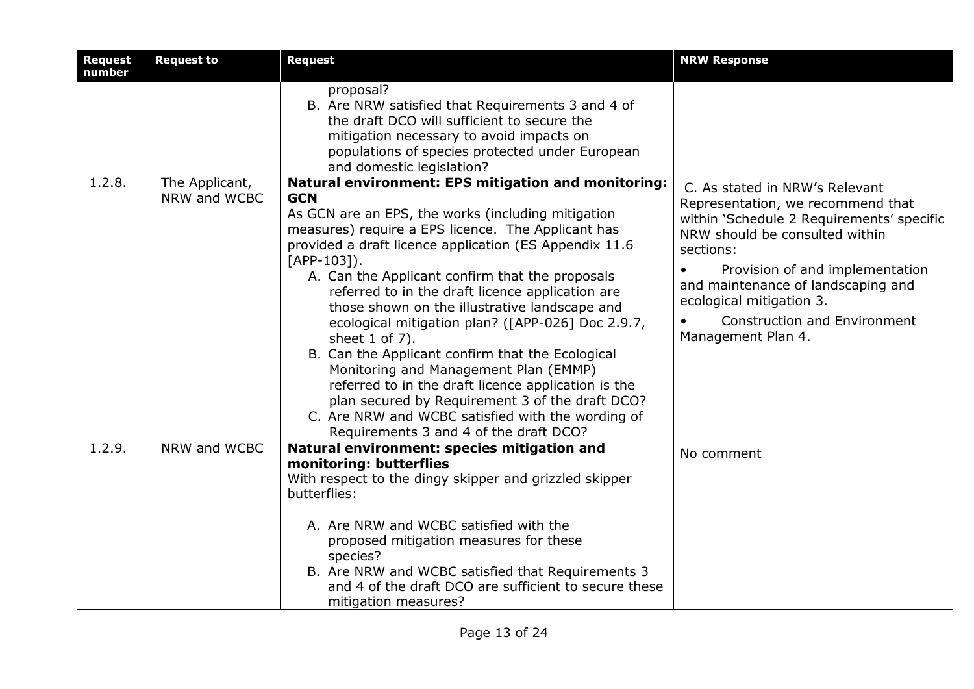| <b>Request</b><br>number | <b>Request to</b>              | <b>Request</b>                                                                                                                                                                                                                                                                                                                                                                                                                                                                                                                                                                                                                                                                                                                                                                                | <b>NRW Response</b>                                                                                                                                                                                                                                                                                                                                         |
|--------------------------|--------------------------------|-----------------------------------------------------------------------------------------------------------------------------------------------------------------------------------------------------------------------------------------------------------------------------------------------------------------------------------------------------------------------------------------------------------------------------------------------------------------------------------------------------------------------------------------------------------------------------------------------------------------------------------------------------------------------------------------------------------------------------------------------------------------------------------------------|-------------------------------------------------------------------------------------------------------------------------------------------------------------------------------------------------------------------------------------------------------------------------------------------------------------------------------------------------------------|
|                          |                                | proposal?<br>B. Are NRW satisfied that Requirements 3 and 4 of<br>the draft DCO will sufficient to secure the<br>mitigation necessary to avoid impacts on<br>populations of species protected under European<br>and domestic legislation?                                                                                                                                                                                                                                                                                                                                                                                                                                                                                                                                                     |                                                                                                                                                                                                                                                                                                                                                             |
| 1.2.8.                   | The Applicant,<br>NRW and WCBC | Natural environment: EPS mitigation and monitoring:<br><b>GCN</b><br>As GCN are an EPS, the works (including mitigation<br>measures) require a EPS licence. The Applicant has<br>provided a draft licence application (ES Appendix 11.6<br>$[APP-103]$ .<br>A. Can the Applicant confirm that the proposals<br>referred to in the draft licence application are<br>those shown on the illustrative landscape and<br>ecological mitigation plan? ([APP-026] Doc 2.9.7,<br>sheet 1 of 7).<br>B. Can the Applicant confirm that the Ecological<br>Monitoring and Management Plan (EMMP)<br>referred to in the draft licence application is the<br>plan secured by Requirement 3 of the draft DCO?<br>C. Are NRW and WCBC satisfied with the wording of<br>Requirements 3 and 4 of the draft DCO? | C. As stated in NRW's Relevant<br>Representation, we recommend that<br>within 'Schedule 2 Requirements' specific<br>NRW should be consulted within<br>sections:<br>Provision of and implementation<br>$\bullet$<br>and maintenance of landscaping and<br>ecological mitigation 3.<br><b>Construction and Environment</b><br>$\bullet$<br>Management Plan 4. |
| 1.2.9.                   | NRW and WCBC                   | Natural environment: species mitigation and<br>monitoring: butterflies<br>With respect to the dingy skipper and grizzled skipper<br>butterflies:<br>A. Are NRW and WCBC satisfied with the<br>proposed mitigation measures for these<br>species?<br>B. Are NRW and WCBC satisfied that Requirements 3<br>and 4 of the draft DCO are sufficient to secure these<br>mitigation measures?                                                                                                                                                                                                                                                                                                                                                                                                        | No comment                                                                                                                                                                                                                                                                                                                                                  |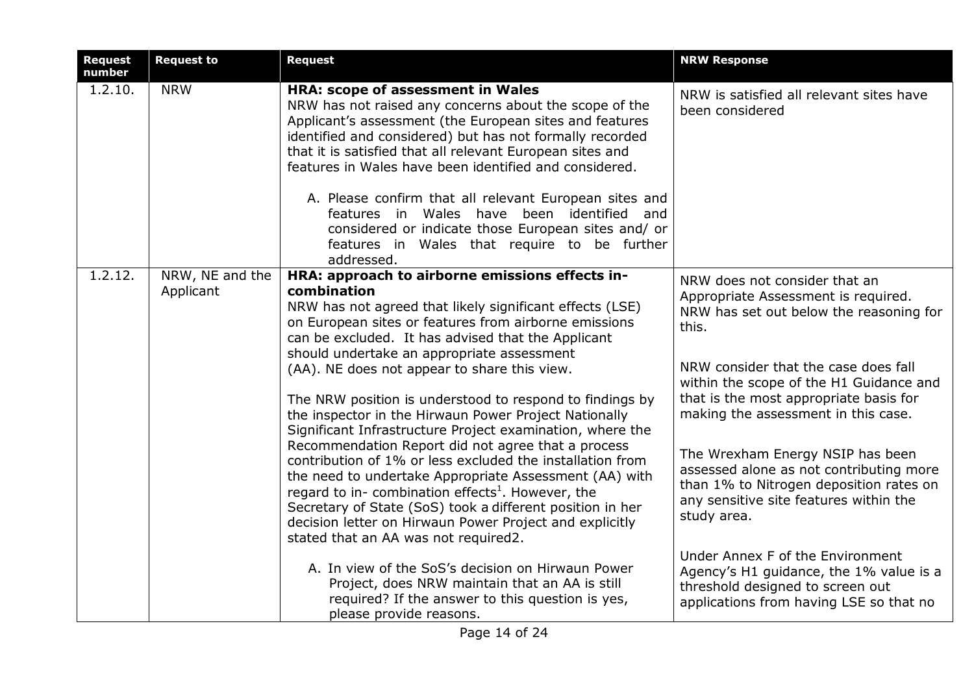| <b>Request</b><br>number | <b>Request to</b>            | <b>Request</b>                                                                                                                                                                                                                                                                                                                                                                                                                                                                                                                                                                                                                                                                                                                                                                                                                       | <b>NRW Response</b>                                                                                                                                                                                                                                                                                                                                                                                                                                                             |
|--------------------------|------------------------------|--------------------------------------------------------------------------------------------------------------------------------------------------------------------------------------------------------------------------------------------------------------------------------------------------------------------------------------------------------------------------------------------------------------------------------------------------------------------------------------------------------------------------------------------------------------------------------------------------------------------------------------------------------------------------------------------------------------------------------------------------------------------------------------------------------------------------------------|---------------------------------------------------------------------------------------------------------------------------------------------------------------------------------------------------------------------------------------------------------------------------------------------------------------------------------------------------------------------------------------------------------------------------------------------------------------------------------|
| 1.2.10.                  | <b>NRW</b>                   | HRA: scope of assessment in Wales<br>NRW has not raised any concerns about the scope of the<br>Applicant's assessment (the European sites and features<br>identified and considered) but has not formally recorded<br>that it is satisfied that all relevant European sites and<br>features in Wales have been identified and considered.<br>A. Please confirm that all relevant European sites and<br>features in Wales have been identified and<br>considered or indicate those European sites and/ or<br>features in Wales that require to be further<br>addressed.                                                                                                                                                                                                                                                               | NRW is satisfied all relevant sites have<br>been considered                                                                                                                                                                                                                                                                                                                                                                                                                     |
| 1.2.12.                  | NRW, NE and the<br>Applicant | HRA: approach to airborne emissions effects in-<br>combination<br>NRW has not agreed that likely significant effects (LSE)<br>on European sites or features from airborne emissions<br>can be excluded. It has advised that the Applicant<br>should undertake an appropriate assessment<br>(AA). NE does not appear to share this view.<br>The NRW position is understood to respond to findings by<br>the inspector in the Hirwaun Power Project Nationally<br>Significant Infrastructure Project examination, where the<br>Recommendation Report did not agree that a process<br>contribution of 1% or less excluded the installation from<br>the need to undertake Appropriate Assessment (AA) with<br>regard to in- combination effects <sup>1</sup> . However, the<br>Secretary of State (SoS) took a different position in her | NRW does not consider that an<br>Appropriate Assessment is required.<br>NRW has set out below the reasoning for<br>this.<br>NRW consider that the case does fall<br>within the scope of the H1 Guidance and<br>that is the most appropriate basis for<br>making the assessment in this case.<br>The Wrexham Energy NSIP has been<br>assessed alone as not contributing more<br>than 1% to Nitrogen deposition rates on<br>any sensitive site features within the<br>study area. |
|                          |                              | decision letter on Hirwaun Power Project and explicitly<br>stated that an AA was not required2.<br>A. In view of the SoS's decision on Hirwaun Power<br>Project, does NRW maintain that an AA is still<br>required? If the answer to this question is yes,<br>please provide reasons.                                                                                                                                                                                                                                                                                                                                                                                                                                                                                                                                                | Under Annex F of the Environment<br>Agency's H1 guidance, the 1% value is a<br>threshold designed to screen out<br>applications from having LSE so that no                                                                                                                                                                                                                                                                                                                      |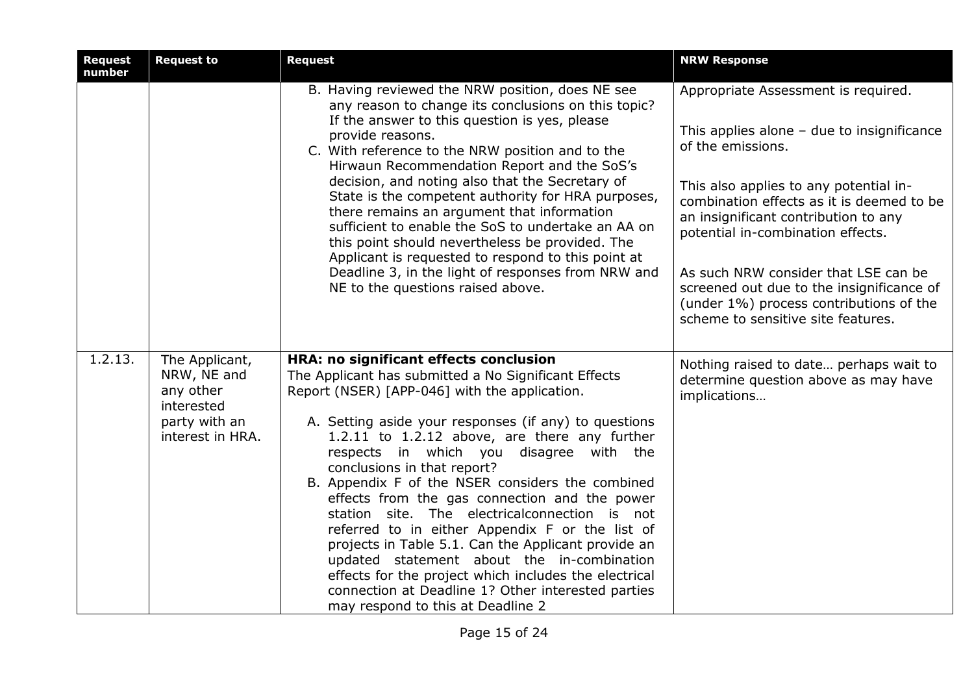| <b>Request</b><br>number | <b>Request to</b>                                                                             | <b>Request</b>                                                                                                                                                                                                                                                                                                                                                                                                                                                                                                                                                                                                                                                                                                                                                                                        | <b>NRW Response</b>                                                                                                                                                                                                                                                                                                                                                                                                                                |
|--------------------------|-----------------------------------------------------------------------------------------------|-------------------------------------------------------------------------------------------------------------------------------------------------------------------------------------------------------------------------------------------------------------------------------------------------------------------------------------------------------------------------------------------------------------------------------------------------------------------------------------------------------------------------------------------------------------------------------------------------------------------------------------------------------------------------------------------------------------------------------------------------------------------------------------------------------|----------------------------------------------------------------------------------------------------------------------------------------------------------------------------------------------------------------------------------------------------------------------------------------------------------------------------------------------------------------------------------------------------------------------------------------------------|
|                          |                                                                                               | B. Having reviewed the NRW position, does NE see<br>any reason to change its conclusions on this topic?<br>If the answer to this question is yes, please<br>provide reasons.<br>C. With reference to the NRW position and to the<br>Hirwaun Recommendation Report and the SoS's<br>decision, and noting also that the Secretary of<br>State is the competent authority for HRA purposes,<br>there remains an argument that information<br>sufficient to enable the SoS to undertake an AA on<br>this point should nevertheless be provided. The<br>Applicant is requested to respond to this point at<br>Deadline 3, in the light of responses from NRW and<br>NE to the questions raised above.                                                                                                      | Appropriate Assessment is required.<br>This applies alone $-$ due to insignificance<br>of the emissions.<br>This also applies to any potential in-<br>combination effects as it is deemed to be<br>an insignificant contribution to any<br>potential in-combination effects.<br>As such NRW consider that LSE can be<br>screened out due to the insignificance of<br>(under 1%) process contributions of the<br>scheme to sensitive site features. |
| 1.2.13.                  | The Applicant,<br>NRW, NE and<br>any other<br>interested<br>party with an<br>interest in HRA. | HRA: no significant effects conclusion<br>The Applicant has submitted a No Significant Effects<br>Report (NSER) [APP-046] with the application.<br>A. Setting aside your responses (if any) to questions<br>1.2.11 to 1.2.12 above, are there any further<br>respects in which you disagree with the<br>conclusions in that report?<br>B. Appendix F of the NSER considers the combined<br>effects from the gas connection and the power<br>station site. The electricalconnection is not<br>referred to in either Appendix F or the list of<br>projects in Table 5.1. Can the Applicant provide an<br>updated statement about the in-combination<br>effects for the project which includes the electrical<br>connection at Deadline 1? Other interested parties<br>may respond to this at Deadline 2 | Nothing raised to date perhaps wait to<br>determine question above as may have<br>implications                                                                                                                                                                                                                                                                                                                                                     |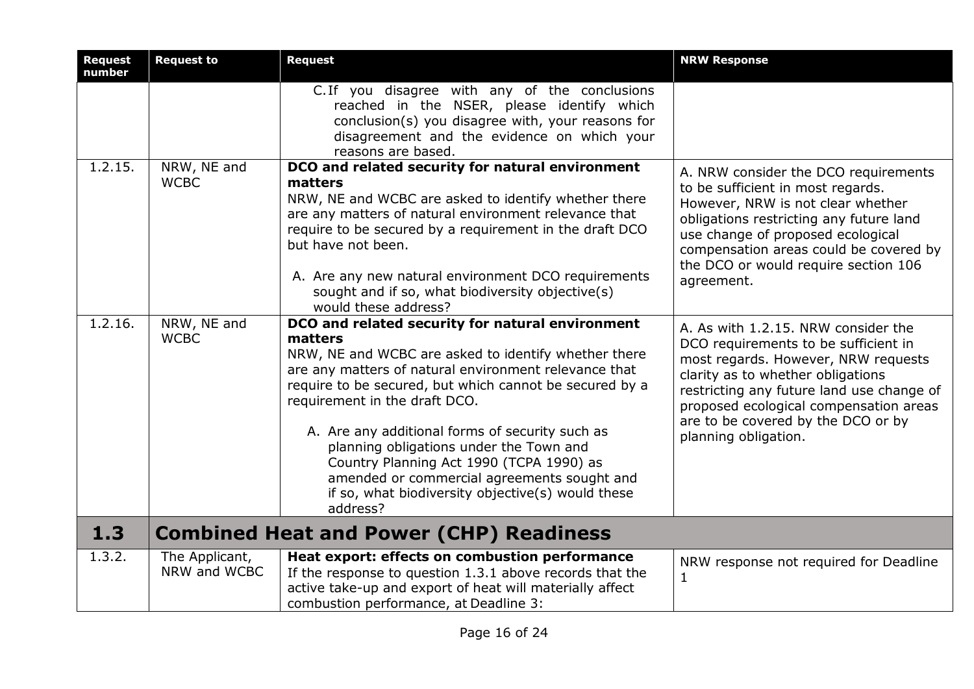| <b>Request</b><br>number | <b>Request to</b>              | <b>Request</b>                                                                                                                                                                                                                                                                                                                                                                                                                                                                                                                     | <b>NRW Response</b>                                                                                                                                                                                                                                                                                          |
|--------------------------|--------------------------------|------------------------------------------------------------------------------------------------------------------------------------------------------------------------------------------------------------------------------------------------------------------------------------------------------------------------------------------------------------------------------------------------------------------------------------------------------------------------------------------------------------------------------------|--------------------------------------------------------------------------------------------------------------------------------------------------------------------------------------------------------------------------------------------------------------------------------------------------------------|
|                          |                                | C. If you disagree with any of the conclusions<br>reached in the NSER, please identify which<br>conclusion(s) you disagree with, your reasons for<br>disagreement and the evidence on which your<br>reasons are based.                                                                                                                                                                                                                                                                                                             |                                                                                                                                                                                                                                                                                                              |
| 1.2.15.                  | NRW, NE and<br><b>WCBC</b>     | DCO and related security for natural environment<br>matters<br>NRW, NE and WCBC are asked to identify whether there<br>are any matters of natural environment relevance that<br>require to be secured by a requirement in the draft DCO<br>but have not been.<br>A. Are any new natural environment DCO requirements<br>sought and if so, what biodiversity objective(s)<br>would these address?                                                                                                                                   | A. NRW consider the DCO requirements<br>to be sufficient in most regards.<br>However, NRW is not clear whether<br>obligations restricting any future land<br>use change of proposed ecological<br>compensation areas could be covered by<br>the DCO or would require section 106<br>agreement.               |
| 1.2.16.                  | NRW, NE and<br><b>WCBC</b>     | DCO and related security for natural environment<br>matters<br>NRW, NE and WCBC are asked to identify whether there<br>are any matters of natural environment relevance that<br>require to be secured, but which cannot be secured by a<br>requirement in the draft DCO.<br>A. Are any additional forms of security such as<br>planning obligations under the Town and<br>Country Planning Act 1990 (TCPA 1990) as<br>amended or commercial agreements sought and<br>if so, what biodiversity objective(s) would these<br>address? | A. As with 1.2.15. NRW consider the<br>DCO requirements to be sufficient in<br>most regards. However, NRW requests<br>clarity as to whether obligations<br>restricting any future land use change of<br>proposed ecological compensation areas<br>are to be covered by the DCO or by<br>planning obligation. |
| 1.3                      |                                | <b>Combined Heat and Power (CHP) Readiness</b>                                                                                                                                                                                                                                                                                                                                                                                                                                                                                     |                                                                                                                                                                                                                                                                                                              |
| 1.3.2.                   | The Applicant,<br>NRW and WCBC | Heat export: effects on combustion performance<br>If the response to question 1.3.1 above records that the<br>active take-up and export of heat will materially affect<br>combustion performance, at Deadline 3:                                                                                                                                                                                                                                                                                                                   | NRW response not required for Deadline<br>$\mathbf{1}$                                                                                                                                                                                                                                                       |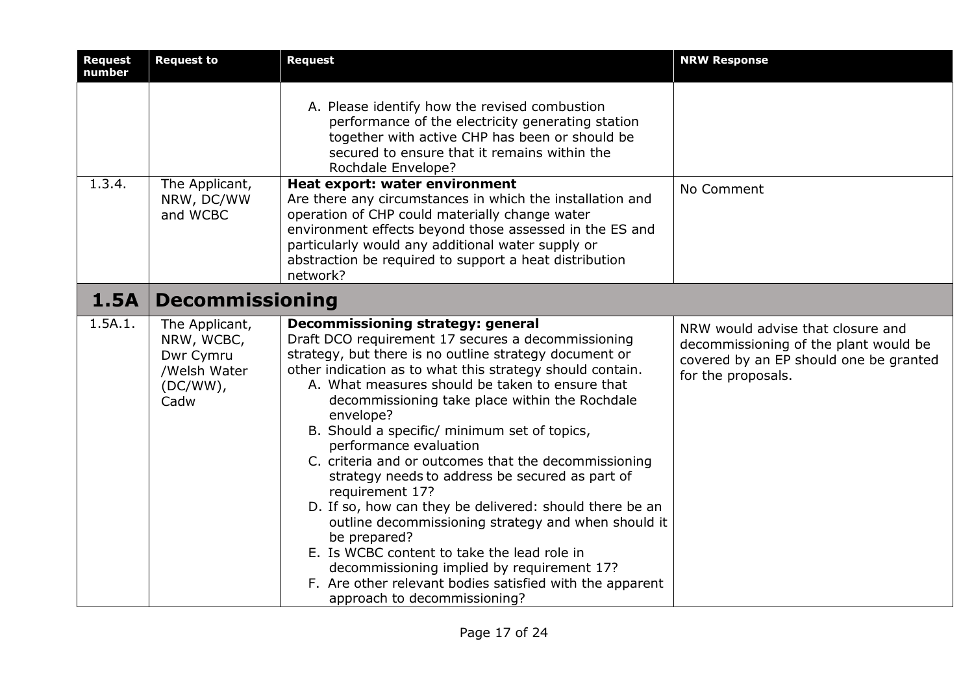| <b>Request</b><br>number | <b>Request to</b>                                                                | <b>Request</b>                                                                                                                                                                                                                                                                                                                                                                                                                                                                                                                                                                                                                                                                                                                                                                                                                                                      | <b>NRW Response</b>                                                                                                                        |
|--------------------------|----------------------------------------------------------------------------------|---------------------------------------------------------------------------------------------------------------------------------------------------------------------------------------------------------------------------------------------------------------------------------------------------------------------------------------------------------------------------------------------------------------------------------------------------------------------------------------------------------------------------------------------------------------------------------------------------------------------------------------------------------------------------------------------------------------------------------------------------------------------------------------------------------------------------------------------------------------------|--------------------------------------------------------------------------------------------------------------------------------------------|
|                          |                                                                                  | A. Please identify how the revised combustion<br>performance of the electricity generating station<br>together with active CHP has been or should be<br>secured to ensure that it remains within the<br>Rochdale Envelope?                                                                                                                                                                                                                                                                                                                                                                                                                                                                                                                                                                                                                                          |                                                                                                                                            |
| 1.3.4.                   | The Applicant,<br>NRW, DC/WW<br>and WCBC                                         | Heat export: water environment<br>Are there any circumstances in which the installation and<br>operation of CHP could materially change water<br>environment effects beyond those assessed in the ES and<br>particularly would any additional water supply or<br>abstraction be required to support a heat distribution<br>network?                                                                                                                                                                                                                                                                                                                                                                                                                                                                                                                                 | No Comment                                                                                                                                 |
| <b>1.5A</b>              | <b>Decommissioning</b>                                                           |                                                                                                                                                                                                                                                                                                                                                                                                                                                                                                                                                                                                                                                                                                                                                                                                                                                                     |                                                                                                                                            |
| 1.5A.1.                  | The Applicant,<br>NRW, WCBC,<br>Dwr Cymru<br>/Welsh Water<br>$(DC/WW)$ ,<br>Cadw | Decommissioning strategy: general<br>Draft DCO requirement 17 secures a decommissioning<br>strategy, but there is no outline strategy document or<br>other indication as to what this strategy should contain.<br>A. What measures should be taken to ensure that<br>decommissioning take place within the Rochdale<br>envelope?<br>B. Should a specific/ minimum set of topics,<br>performance evaluation<br>C. criteria and or outcomes that the decommissioning<br>strategy needs to address be secured as part of<br>requirement 17?<br>D. If so, how can they be delivered: should there be an<br>outline decommissioning strategy and when should it<br>be prepared?<br>E. Is WCBC content to take the lead role in<br>decommissioning implied by requirement 17?<br>F. Are other relevant bodies satisfied with the apparent<br>approach to decommissioning? | NRW would advise that closure and<br>decommissioning of the plant would be<br>covered by an EP should one be granted<br>for the proposals. |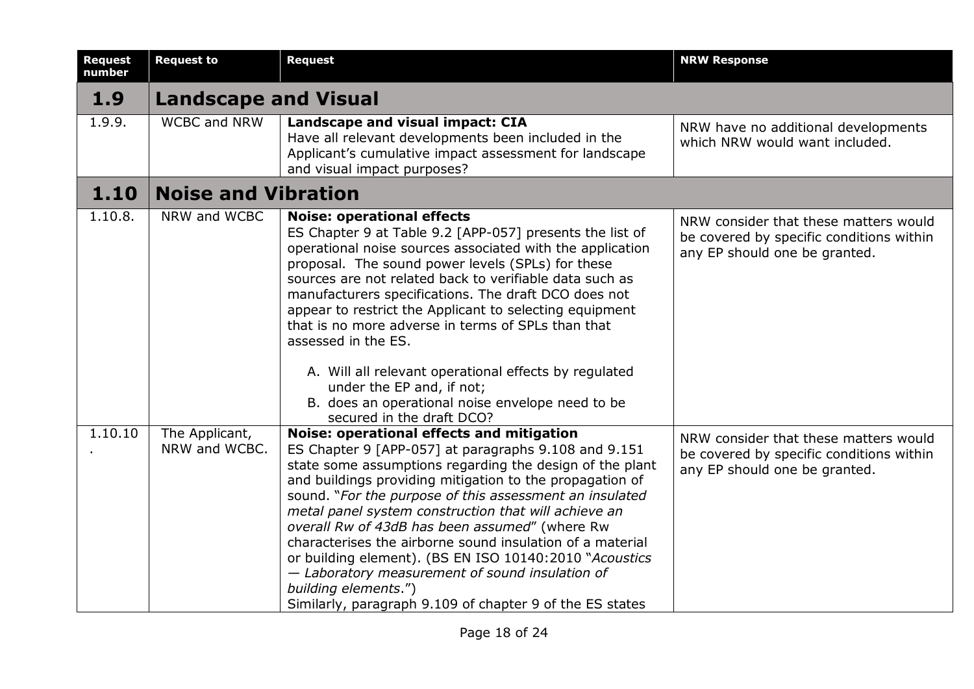| <b>Request</b><br>number | <b>Request to</b>               | <b>Request</b>                                                                                                                                                                                                                                                                                                                                                                                                                                                                                                                                                                                                                                               | <b>NRW Response</b>                                                                                                |
|--------------------------|---------------------------------|--------------------------------------------------------------------------------------------------------------------------------------------------------------------------------------------------------------------------------------------------------------------------------------------------------------------------------------------------------------------------------------------------------------------------------------------------------------------------------------------------------------------------------------------------------------------------------------------------------------------------------------------------------------|--------------------------------------------------------------------------------------------------------------------|
| 1.9                      | <b>Landscape and Visual</b>     |                                                                                                                                                                                                                                                                                                                                                                                                                                                                                                                                                                                                                                                              |                                                                                                                    |
| 1.9.9.                   | <b>WCBC and NRW</b>             | Landscape and visual impact: CIA<br>Have all relevant developments been included in the<br>Applicant's cumulative impact assessment for landscape<br>and visual impact purposes?                                                                                                                                                                                                                                                                                                                                                                                                                                                                             | NRW have no additional developments<br>which NRW would want included.                                              |
| 1.10                     | <b>Noise and Vibration</b>      |                                                                                                                                                                                                                                                                                                                                                                                                                                                                                                                                                                                                                                                              |                                                                                                                    |
| 1.10.8.                  | NRW and WCBC                    | <b>Noise: operational effects</b><br>ES Chapter 9 at Table 9.2 [APP-057] presents the list of<br>operational noise sources associated with the application<br>proposal. The sound power levels (SPLs) for these<br>sources are not related back to verifiable data such as<br>manufacturers specifications. The draft DCO does not<br>appear to restrict the Applicant to selecting equipment<br>that is no more adverse in terms of SPLs than that<br>assessed in the ES.<br>A. Will all relevant operational effects by regulated<br>under the EP and, if not;<br>B. does an operational noise envelope need to be<br>secured in the draft DCO?            | NRW consider that these matters would<br>be covered by specific conditions within<br>any EP should one be granted. |
| 1.10.10                  | The Applicant,<br>NRW and WCBC. | Noise: operational effects and mitigation<br>ES Chapter 9 [APP-057] at paragraphs 9.108 and 9.151<br>state some assumptions regarding the design of the plant<br>and buildings providing mitigation to the propagation of<br>sound. "For the purpose of this assessment an insulated<br>metal panel system construction that will achieve an<br>overall Rw of 43dB has been assumed" (where Rw<br>characterises the airborne sound insulation of a material<br>or building element). (BS EN ISO 10140:2010 "Acoustics<br>- Laboratory measurement of sound insulation of<br>building elements.")<br>Similarly, paragraph 9.109 of chapter 9 of the ES states | NRW consider that these matters would<br>be covered by specific conditions within<br>any EP should one be granted. |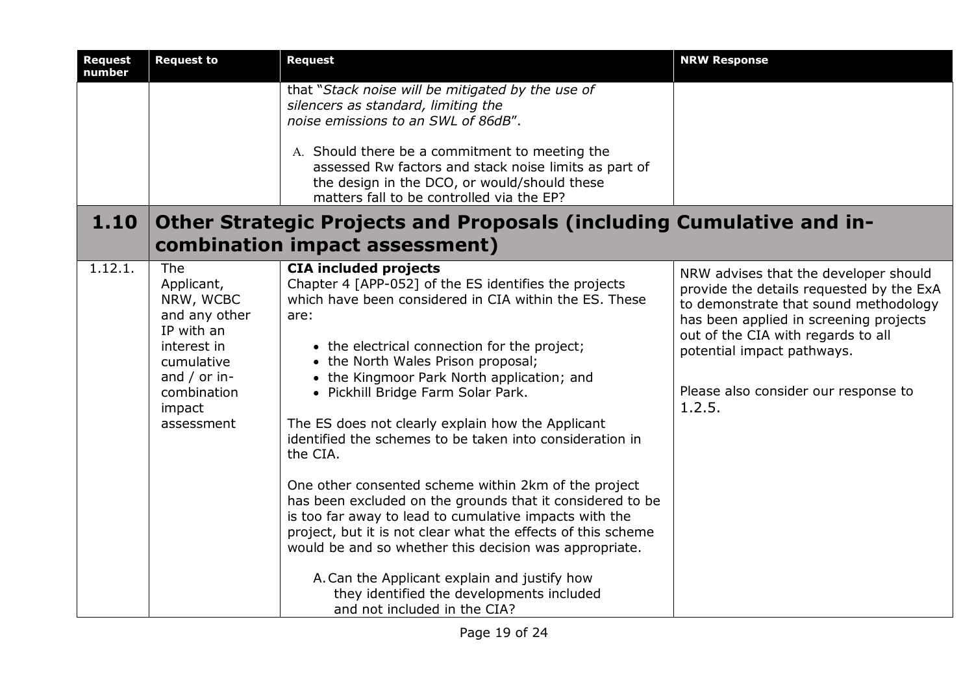| <b>Request</b><br>number | <b>Request to</b>                                                                                                                                 | <b>Request</b>                                                                                                                                                                                                                                                                                                                                                                                                                                                                                                                                                                                                                                                                                                                                                                                                                                                                                       | <b>NRW Response</b>                                                                                                                                                                                                                                                                        |
|--------------------------|---------------------------------------------------------------------------------------------------------------------------------------------------|------------------------------------------------------------------------------------------------------------------------------------------------------------------------------------------------------------------------------------------------------------------------------------------------------------------------------------------------------------------------------------------------------------------------------------------------------------------------------------------------------------------------------------------------------------------------------------------------------------------------------------------------------------------------------------------------------------------------------------------------------------------------------------------------------------------------------------------------------------------------------------------------------|--------------------------------------------------------------------------------------------------------------------------------------------------------------------------------------------------------------------------------------------------------------------------------------------|
|                          |                                                                                                                                                   | that "Stack noise will be mitigated by the use of<br>silencers as standard, limiting the<br>noise emissions to an SWL of 86dB".                                                                                                                                                                                                                                                                                                                                                                                                                                                                                                                                                                                                                                                                                                                                                                      |                                                                                                                                                                                                                                                                                            |
|                          |                                                                                                                                                   | A. Should there be a commitment to meeting the<br>assessed Rw factors and stack noise limits as part of<br>the design in the DCO, or would/should these<br>matters fall to be controlled via the EP?                                                                                                                                                                                                                                                                                                                                                                                                                                                                                                                                                                                                                                                                                                 |                                                                                                                                                                                                                                                                                            |
| 1.10                     |                                                                                                                                                   | Other Strategic Projects and Proposals (including Cumulative and in-                                                                                                                                                                                                                                                                                                                                                                                                                                                                                                                                                                                                                                                                                                                                                                                                                                 |                                                                                                                                                                                                                                                                                            |
|                          |                                                                                                                                                   | combination impact assessment)                                                                                                                                                                                                                                                                                                                                                                                                                                                                                                                                                                                                                                                                                                                                                                                                                                                                       |                                                                                                                                                                                                                                                                                            |
| 1.12.1.                  | The<br>Applicant,<br>NRW, WCBC<br>and any other<br>IP with an<br>interest in<br>cumulative<br>and / or in-<br>combination<br>impact<br>assessment | <b>CIA included projects</b><br>Chapter 4 [APP-052] of the ES identifies the projects<br>which have been considered in CIA within the ES. These<br>are:<br>• the electrical connection for the project;<br>• the North Wales Prison proposal;<br>• the Kingmoor Park North application; and<br>• Pickhill Bridge Farm Solar Park.<br>The ES does not clearly explain how the Applicant<br>identified the schemes to be taken into consideration in<br>the CIA.<br>One other consented scheme within 2km of the project<br>has been excluded on the grounds that it considered to be<br>is too far away to lead to cumulative impacts with the<br>project, but it is not clear what the effects of this scheme<br>would be and so whether this decision was appropriate.<br>A. Can the Applicant explain and justify how<br>they identified the developments included<br>and not included in the CIA? | NRW advises that the developer should<br>provide the details requested by the ExA<br>to demonstrate that sound methodology<br>has been applied in screening projects<br>out of the CIA with regards to all<br>potential impact pathways.<br>Please also consider our response to<br>1.2.5. |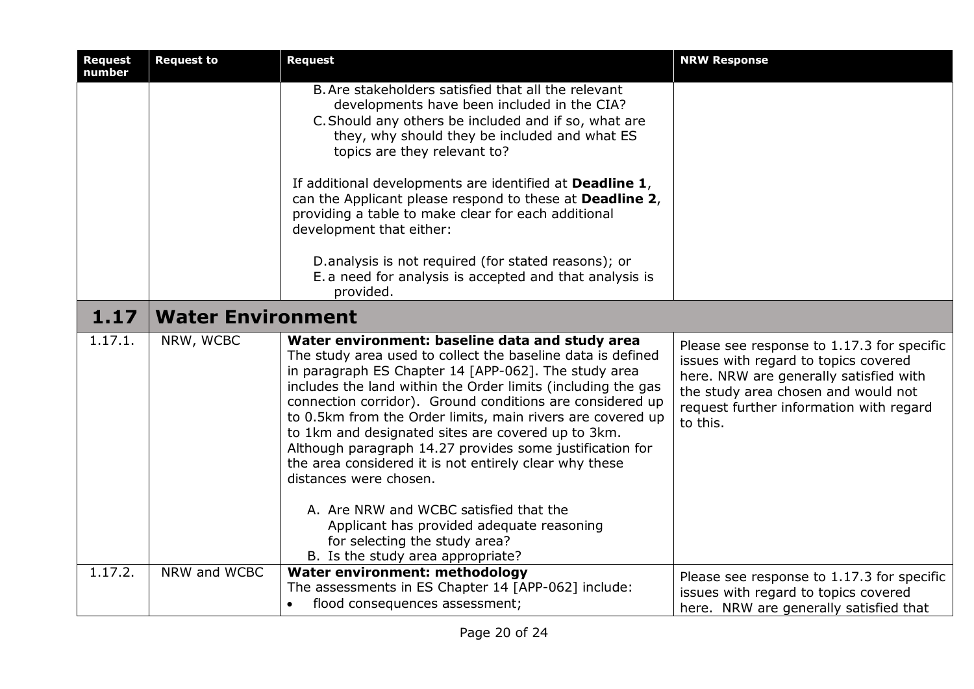| <b>Request</b><br>number | <b>Request to</b>        | <b>Request</b>                                                                                                                                                                                                                                                                                                                                                                                                                                                                                                                                                                                                    | <b>NRW Response</b>                                                                                                                                                                                                        |
|--------------------------|--------------------------|-------------------------------------------------------------------------------------------------------------------------------------------------------------------------------------------------------------------------------------------------------------------------------------------------------------------------------------------------------------------------------------------------------------------------------------------------------------------------------------------------------------------------------------------------------------------------------------------------------------------|----------------------------------------------------------------------------------------------------------------------------------------------------------------------------------------------------------------------------|
|                          |                          | B. Are stakeholders satisfied that all the relevant<br>developments have been included in the CIA?<br>C. Should any others be included and if so, what are<br>they, why should they be included and what ES<br>topics are they relevant to?<br>If additional developments are identified at Deadline 1,                                                                                                                                                                                                                                                                                                           |                                                                                                                                                                                                                            |
|                          |                          | can the Applicant please respond to these at Deadline 2,<br>providing a table to make clear for each additional<br>development that either:                                                                                                                                                                                                                                                                                                                                                                                                                                                                       |                                                                                                                                                                                                                            |
|                          |                          | D.analysis is not required (for stated reasons); or<br>E. a need for analysis is accepted and that analysis is<br>provided.                                                                                                                                                                                                                                                                                                                                                                                                                                                                                       |                                                                                                                                                                                                                            |
| 1.17                     | <b>Water Environment</b> |                                                                                                                                                                                                                                                                                                                                                                                                                                                                                                                                                                                                                   |                                                                                                                                                                                                                            |
| 1.17.1.                  | NRW, WCBC                | Water environment: baseline data and study area<br>The study area used to collect the baseline data is defined<br>in paragraph ES Chapter 14 [APP-062]. The study area<br>includes the land within the Order limits (including the gas<br>connection corridor). Ground conditions are considered up<br>to 0.5km from the Order limits, main rivers are covered up<br>to 1km and designated sites are covered up to 3km.<br>Although paragraph 14.27 provides some justification for<br>the area considered it is not entirely clear why these<br>distances were chosen.<br>A. Are NRW and WCBC satisfied that the | Please see response to 1.17.3 for specific<br>issues with regard to topics covered<br>here. NRW are generally satisfied with<br>the study area chosen and would not<br>request further information with regard<br>to this. |
|                          |                          | Applicant has provided adequate reasoning<br>for selecting the study area?<br>B. Is the study area appropriate?                                                                                                                                                                                                                                                                                                                                                                                                                                                                                                   |                                                                                                                                                                                                                            |
| 1.17.2.                  | NRW and WCBC             | Water environment: methodology<br>The assessments in ES Chapter 14 [APP-062] include:<br>flood consequences assessment;<br>$\bullet$                                                                                                                                                                                                                                                                                                                                                                                                                                                                              | Please see response to 1.17.3 for specific<br>issues with regard to topics covered<br>here. NRW are generally satisfied that                                                                                               |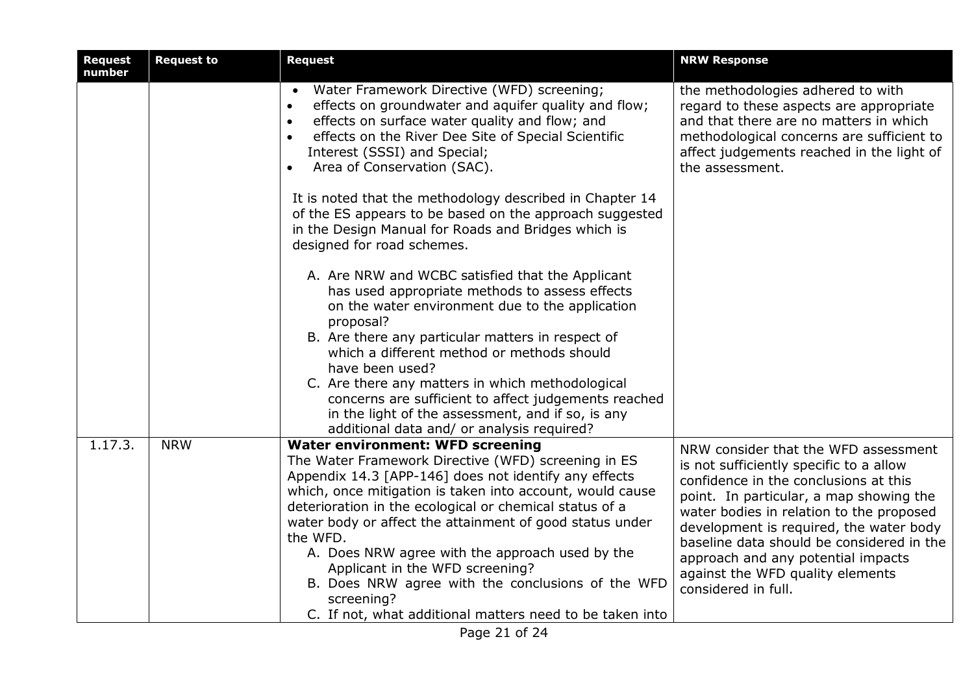| <b>Request</b><br>number | <b>Request to</b> | <b>Request</b>                                                                                                                                                                                                                                                                                                                                                                                                                                                                                                                                                               | <b>NRW Response</b>                                                                                                                                                                                                                                                                                                                                                                                      |
|--------------------------|-------------------|------------------------------------------------------------------------------------------------------------------------------------------------------------------------------------------------------------------------------------------------------------------------------------------------------------------------------------------------------------------------------------------------------------------------------------------------------------------------------------------------------------------------------------------------------------------------------|----------------------------------------------------------------------------------------------------------------------------------------------------------------------------------------------------------------------------------------------------------------------------------------------------------------------------------------------------------------------------------------------------------|
|                          |                   | Water Framework Directive (WFD) screening;<br>effects on groundwater and aquifer quality and flow;<br>$\bullet$<br>effects on surface water quality and flow; and<br>$\bullet$<br>effects on the River Dee Site of Special Scientific<br>$\bullet$<br>Interest (SSSI) and Special;<br>Area of Conservation (SAC).<br>$\bullet$                                                                                                                                                                                                                                               | the methodologies adhered to with<br>regard to these aspects are appropriate<br>and that there are no matters in which<br>methodological concerns are sufficient to<br>affect judgements reached in the light of<br>the assessment.                                                                                                                                                                      |
|                          |                   | It is noted that the methodology described in Chapter 14<br>of the ES appears to be based on the approach suggested<br>in the Design Manual for Roads and Bridges which is<br>designed for road schemes.                                                                                                                                                                                                                                                                                                                                                                     |                                                                                                                                                                                                                                                                                                                                                                                                          |
|                          |                   | A. Are NRW and WCBC satisfied that the Applicant<br>has used appropriate methods to assess effects<br>on the water environment due to the application<br>proposal?<br>B. Are there any particular matters in respect of<br>which a different method or methods should<br>have been used?<br>C. Are there any matters in which methodological<br>concerns are sufficient to affect judgements reached<br>in the light of the assessment, and if so, is any<br>additional data and/ or analysis required?                                                                      |                                                                                                                                                                                                                                                                                                                                                                                                          |
| 1.17.3.                  | <b>NRW</b>        | <b>Water environment: WFD screening</b><br>The Water Framework Directive (WFD) screening in ES<br>Appendix 14.3 [APP-146] does not identify any effects<br>which, once mitigation is taken into account, would cause<br>deterioration in the ecological or chemical status of a<br>water body or affect the attainment of good status under<br>the WFD.<br>A. Does NRW agree with the approach used by the<br>Applicant in the WFD screening?<br>B. Does NRW agree with the conclusions of the WFD<br>screening?<br>C. If not, what additional matters need to be taken into | NRW consider that the WFD assessment<br>is not sufficiently specific to a allow<br>confidence in the conclusions at this<br>point. In particular, a map showing the<br>water bodies in relation to the proposed<br>development is required, the water body<br>baseline data should be considered in the<br>approach and any potential impacts<br>against the WFD quality elements<br>considered in full. |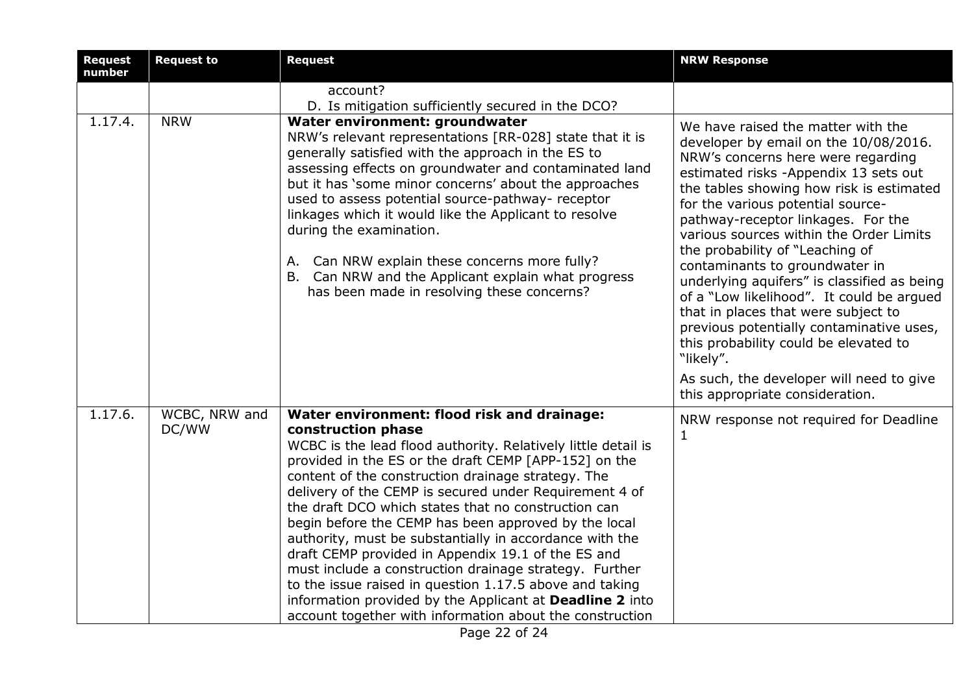| <b>Request</b><br>number | <b>Request to</b>      | <b>Request</b>                                                                                                                                                                                                                                                                                                                                                                                                                                                                                                                                                                                                                                                                                                                                                                           | <b>NRW Response</b>                                                                                                                                                                                                                                                                                                                                                                                                                                                                                                                                                                                                                                                                                                   |
|--------------------------|------------------------|------------------------------------------------------------------------------------------------------------------------------------------------------------------------------------------------------------------------------------------------------------------------------------------------------------------------------------------------------------------------------------------------------------------------------------------------------------------------------------------------------------------------------------------------------------------------------------------------------------------------------------------------------------------------------------------------------------------------------------------------------------------------------------------|-----------------------------------------------------------------------------------------------------------------------------------------------------------------------------------------------------------------------------------------------------------------------------------------------------------------------------------------------------------------------------------------------------------------------------------------------------------------------------------------------------------------------------------------------------------------------------------------------------------------------------------------------------------------------------------------------------------------------|
|                          |                        | account?<br>D. Is mitigation sufficiently secured in the DCO?                                                                                                                                                                                                                                                                                                                                                                                                                                                                                                                                                                                                                                                                                                                            |                                                                                                                                                                                                                                                                                                                                                                                                                                                                                                                                                                                                                                                                                                                       |
| 1.17.4.                  | <b>NRW</b>             | Water environment: groundwater<br>NRW's relevant representations [RR-028] state that it is<br>generally satisfied with the approach in the ES to<br>assessing effects on groundwater and contaminated land<br>but it has 'some minor concerns' about the approaches<br>used to assess potential source-pathway- receptor<br>linkages which it would like the Applicant to resolve<br>during the examination.<br>A. Can NRW explain these concerns more fully?<br>B. Can NRW and the Applicant explain what progress<br>has been made in resolving these concerns?                                                                                                                                                                                                                        | We have raised the matter with the<br>developer by email on the 10/08/2016.<br>NRW's concerns here were regarding<br>estimated risks -Appendix 13 sets out<br>the tables showing how risk is estimated<br>for the various potential source-<br>pathway-receptor linkages. For the<br>various sources within the Order Limits<br>the probability of "Leaching of<br>contaminants to groundwater in<br>underlying aquifers" is classified as being<br>of a "Low likelihood". It could be argued<br>that in places that were subject to<br>previous potentially contaminative uses,<br>this probability could be elevated to<br>"likely".<br>As such, the developer will need to give<br>this appropriate consideration. |
| 1.17.6.                  | WCBC, NRW and<br>DC/WW | Water environment: flood risk and drainage:<br>construction phase<br>WCBC is the lead flood authority. Relatively little detail is<br>provided in the ES or the draft CEMP [APP-152] on the<br>content of the construction drainage strategy. The<br>delivery of the CEMP is secured under Requirement 4 of<br>the draft DCO which states that no construction can<br>begin before the CEMP has been approved by the local<br>authority, must be substantially in accordance with the<br>draft CEMP provided in Appendix 19.1 of the ES and<br>must include a construction drainage strategy. Further<br>to the issue raised in question 1.17.5 above and taking<br>information provided by the Applicant at Deadline 2 into<br>account together with information about the construction | NRW response not required for Deadline<br>$\mathbf{1}$                                                                                                                                                                                                                                                                                                                                                                                                                                                                                                                                                                                                                                                                |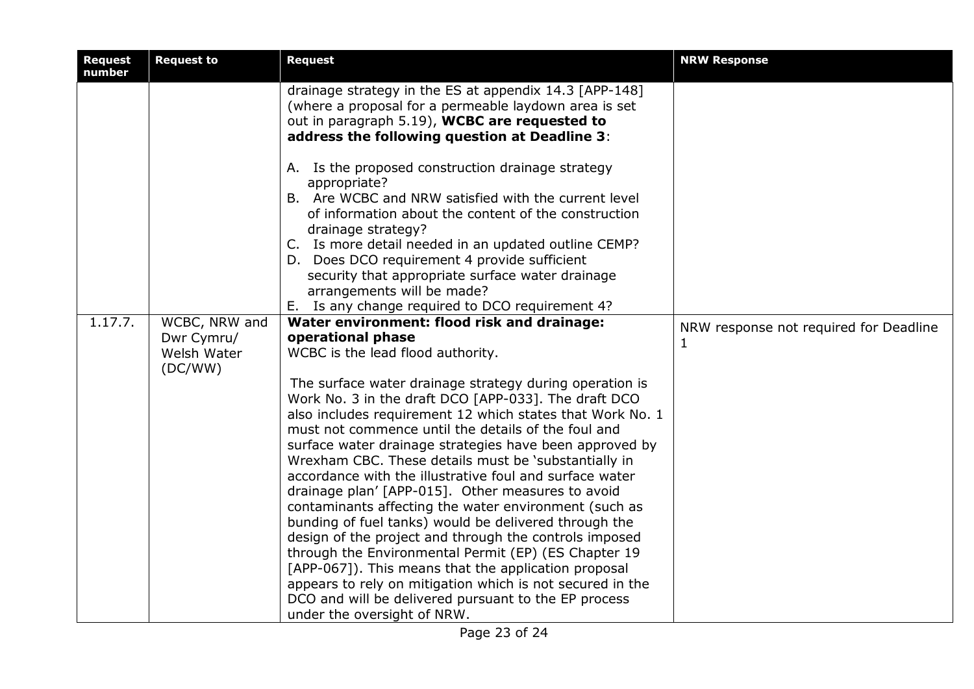| <b>Request</b><br>number | <b>Request to</b>           | <b>Request</b>                                                                                                                                                                                                    | <b>NRW Response</b>                    |
|--------------------------|-----------------------------|-------------------------------------------------------------------------------------------------------------------------------------------------------------------------------------------------------------------|----------------------------------------|
|                          |                             | drainage strategy in the ES at appendix 14.3 [APP-148]<br>(where a proposal for a permeable laydown area is set<br>out in paragraph 5.19), WCBC are requested to<br>address the following question at Deadline 3: |                                        |
|                          |                             | A. Is the proposed construction drainage strategy<br>appropriate?<br>B. Are WCBC and NRW satisfied with the current level<br>of information about the content of the construction<br>drainage strategy?           |                                        |
|                          |                             | C. Is more detail needed in an updated outline CEMP?<br>D. Does DCO requirement 4 provide sufficient<br>security that appropriate surface water drainage<br>arrangements will be made?                            |                                        |
|                          |                             | Ε.<br>Is any change required to DCO requirement 4?                                                                                                                                                                |                                        |
| 1.17.7.                  | WCBC, NRW and<br>Dwr Cymru/ | Water environment: flood risk and drainage:<br>operational phase                                                                                                                                                  | NRW response not required for Deadline |
|                          | Welsh Water                 | WCBC is the lead flood authority.                                                                                                                                                                                 | $\mathbf 1$                            |
|                          | (DC/WW)                     |                                                                                                                                                                                                                   |                                        |
|                          |                             | The surface water drainage strategy during operation is                                                                                                                                                           |                                        |
|                          |                             | Work No. 3 in the draft DCO [APP-033]. The draft DCO                                                                                                                                                              |                                        |
|                          |                             | also includes requirement 12 which states that Work No. 1                                                                                                                                                         |                                        |
|                          |                             | must not commence until the details of the foul and                                                                                                                                                               |                                        |
|                          |                             | surface water drainage strategies have been approved by                                                                                                                                                           |                                        |
|                          |                             | Wrexham CBC. These details must be 'substantially in                                                                                                                                                              |                                        |
|                          |                             | accordance with the illustrative foul and surface water                                                                                                                                                           |                                        |
|                          |                             | drainage plan' [APP-015]. Other measures to avoid                                                                                                                                                                 |                                        |
|                          |                             | contaminants affecting the water environment (such as                                                                                                                                                             |                                        |
|                          |                             | bunding of fuel tanks) would be delivered through the                                                                                                                                                             |                                        |
|                          |                             | design of the project and through the controls imposed                                                                                                                                                            |                                        |
|                          |                             | through the Environmental Permit (EP) (ES Chapter 19<br>[APP-067]). This means that the application proposal                                                                                                      |                                        |
|                          |                             | appears to rely on mitigation which is not secured in the                                                                                                                                                         |                                        |
|                          |                             | DCO and will be delivered pursuant to the EP process                                                                                                                                                              |                                        |
|                          |                             | under the oversight of NRW.                                                                                                                                                                                       |                                        |